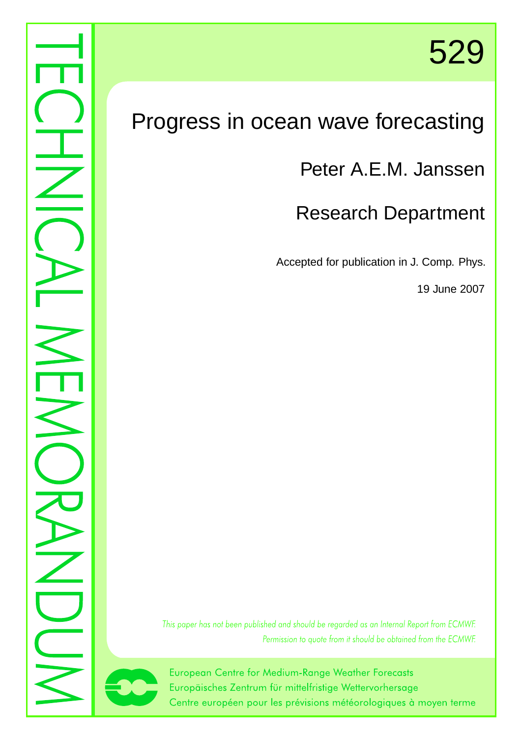# 529

# Progress in ocean wave forecasting

Peter A.E.M. Janssen

# Research Department

Accepted for publication in J. Comp. Phys.

19 June 2007

This paper has not been published and should be regarded as an Internal Report from ECMWF. Permission to quote from it should be obtained from the ECMWF.



European Centre for Medium-Range Weather Forecasts Europäisches Zentrum für mittelfristige Wettervorhersage Centre européen pour les prévisions météorologiques à moyen terme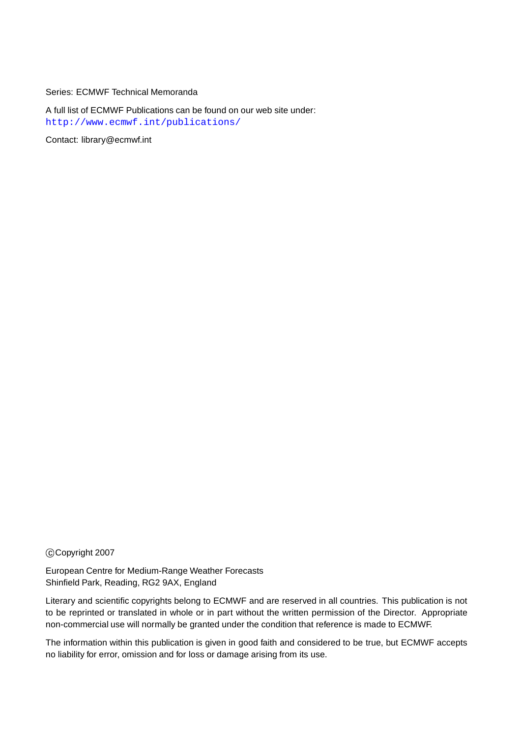Series: ECMWF Technical Memoranda

A full list of ECMWF Publications can be found on our web site under: <http://www.ecmwf.int/publications/>

Contact: library@ecmwf.int

c Copyright 2007

European Centre for Medium-Range Weather Forecasts Shinfield Park, Reading, RG2 9AX, England

Literary and scientific copyrights belong to ECMWF and are reserved in all countries. This publication is not to be reprinted or translated in whole or in part without the written permission of the Director. Appropriate non-commercial use will normally be granted under the condition that reference is made to ECMWF.

The information within this publication is given in good faith and considered to be true, but ECMWF accepts no liability for error, omission and for loss or damage arising from its use.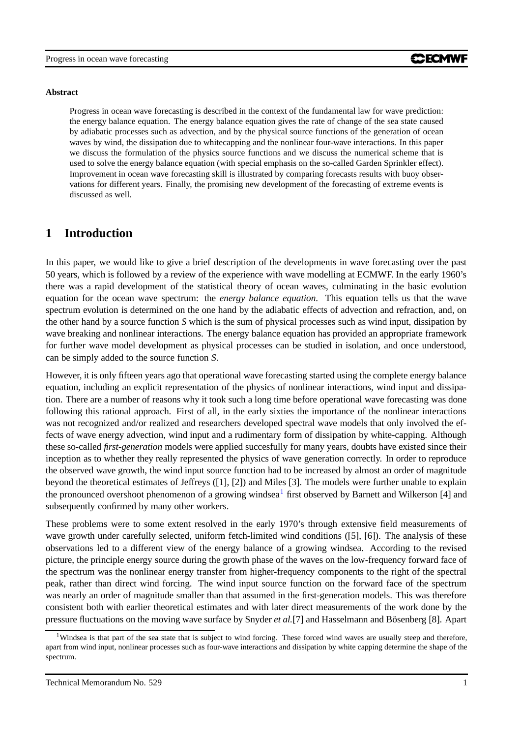#### **Abstract**

Progress in ocean wave forecasting is described in the context of the fundamental law for wave prediction: the energy balance equation. The energy balance equation gives the rate of change of the sea state caused by adiabatic processes such as advection, and by the physical source functions of the generation of ocean waves by wind, the dissipation due to whitecapping and the nonlinear four-wave interactions. In this paper we discuss the formulation of the physics source functions and we discuss the numerical scheme that is used to solve the energy balance equation (with special emphasis on the so-called Garden Sprinkler effect). Improvement in ocean wave forecasting skill is illustrated by comparing forecasts results with buoy observations for different years. Finally, the promising new development of the forecasting of extreme events is discussed as well.

# **1 Introduction**

In this paper, we would like to give a brief description of the developments in wave forecasting over the past 50 years, which is followed by a review of the experience with wave modelling at ECMWF. In the early 1960's there was a rapid development of the statistical theory of ocean waves, culminating in the basic evolution equation for the ocean wave spectrum: the *energy balance equation*. This equation tells us that the wave spectrum evolution is determined on the one hand by the adiabatic effects of advection and refraction, and, on the other hand by a source function *S* which is the sum of physical processes such as wind input, dissipation by wave breaking and nonlinear interactions. The energy balance equation has provided an appropriate framework for further wave model development as physical processes can be studied in isolation, and once understood, can be simply added to the source function *S*.

However, it is only fifteen years ago that operational wave forecasting started using the complete energy balance equation, including an explicit representation of the physics of nonlinear interactions, wind input and dissipation. There are a number of reasons why it took such a long time before operational wave forecasting was done following this rational approach. First of all, in the early sixties the importance of the nonlinear interactions was not recognized and/or realized and researchers developed spectral wave models that only involved the effects of wave energy advection, wind input and a rudimentary form of dissipation by white-capping. Although these so-called *first-generation* models were applied succesfully for many years, doubts have existed since their inception as to whether they really represented the physics of wave generation correctly. In order to reproduce the observed wave growth, the wind input source function had to be increased by almost an order of magnitude beyond the theoretical estimates of Jeffreys ([1], [2]) and Miles [3]. The models were further unable to explain the pronounced overshoot phenomenon of a growing windsea<sup>[1](#page-2-0)</sup> first observed by Barnett and Wilkerson [4] and subsequently confirmed by many other workers.

These problems were to some extent resolved in the early 1970's through extensive field measurements of wave growth under carefully selected, uniform fetch-limited wind conditions ([5], [6]). The analysis of these observations led to a different view of the energy balance of a growing windsea. According to the revised picture, the principle energy source during the growth phase of the waves on the low-frequency forward face of the spectrum was the nonlinear energy transfer from higher-frequency components to the right of the spectral peak, rather than direct wind forcing. The wind input source function on the forward face of the spectrum was nearly an order of magnitude smaller than that assumed in the first-generation models. This was therefore consistent both with earlier theoretical estimates and with later direct measurements of the work done by the pressure fluctuations on the moving wave surface by Snyder *et al.*[7] and Hasselmann and Bösenberg [8]. Apart

<span id="page-2-0"></span><sup>&</sup>lt;sup>1</sup>Windsea is that part of the sea state that is subject to wind forcing. These forced wind waves are usually steep and therefore, apart from wind input, nonlinear processes such as four-wave interactions and dissipation by white capping determine the shape of the spectrum.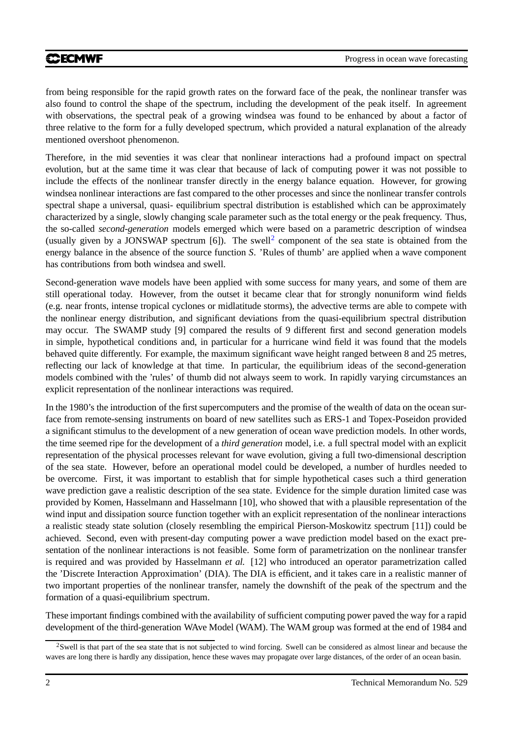# **CCECMWF**

from being responsible for the rapid growth rates on the forward face of the peak, the nonlinear transfer was also found to control the shape of the spectrum, including the development of the peak itself. In agreement with observations, the spectral peak of a growing windsea was found to be enhanced by about a factor of three relative to the form for a fully developed spectrum, which provided a natural explanation of the already mentioned overshoot phenomenon.

Therefore, in the mid seventies it was clear that nonlinear interactions had a profound impact on spectral evolution, but at the same time it was clear that because of lack of computing power it was not possible to include the effects of the nonlinear transfer directly in the energy balance equation. However, for growing windsea nonlinear interactions are fast compared to the other processes and since the nonlinear transfer controls spectral shape a universal, quasi- equilibrium spectral distribution is established which can be approximately characterized by a single, slowly changing scale parameter such as the total energy or the peak frequency. Thus, the so-called *second-generation* models emerged which were based on a parametric description of windsea (usually given by a JONSWAP spectrum  $[6]$ ). The swell<sup>[2](#page-3-0)</sup> component of the sea state is obtained from the energy balance in the absence of the source function *S*. 'Rules of thumb' are applied when a wave component has contributions from both windsea and swell.

Second-generation wave models have been applied with some success for many years, and some of them are still operational today. However, from the outset it became clear that for strongly nonuniform wind fields (e.g. near fronts, intense tropical cyclones or midlatitude storms), the advective terms are able to compete with the nonlinear energy distribution, and significant deviations from the quasi-equilibrium spectral distribution may occur. The SWAMP study [9] compared the results of 9 different first and second generation models in simple, hypothetical conditions and, in particular for a hurricane wind field it was found that the models behaved quite differently. For example, the maximum significant wave height ranged between 8 and 25 metres, reflecting our lack of knowledge at that time. In particular, the equilibrium ideas of the second-generation models combined with the 'rules' of thumb did not always seem to work. In rapidly varying circumstances an explicit representation of the nonlinear interactions was required.

In the 1980's the introduction of the first supercomputers and the promise of the wealth of data on the ocean surface from remote-sensing instruments on board of new satellites such as ERS-1 and Topex-Poseidon provided a significant stimulus to the development of a new generation of ocean wave prediction models. In other words, the time seemed ripe for the development of a *third generation* model, i.e. a full spectral model with an explicit representation of the physical processes relevant for wave evolution, giving a full two-dimensional description of the sea state. However, before an operational model could be developed, a number of hurdles needed to be overcome. First, it was important to establish that for simple hypothetical cases such a third generation wave prediction gave a realistic description of the sea state. Evidence for the simple duration limited case was provided by Komen, Hasselmann and Hasselmann [10], who showed that with a plausible representation of the wind input and dissipation source function together with an explicit representation of the nonlinear interactions a realistic steady state solution (closely resembling the empirical Pierson-Moskowitz spectrum [11]) could be achieved. Second, even with present-day computing power a wave prediction model based on the exact presentation of the nonlinear interactions is not feasible. Some form of parametrization on the nonlinear transfer is required and was provided by Hasselmann *et al.* [12] who introduced an operator parametrization called the 'Discrete Interaction Approximation' (DIA). The DIA is efficient, and it takes care in a realistic manner of two important properties of the nonlinear transfer, namely the downshift of the peak of the spectrum and the formation of a quasi-equilibrium spectrum.

These important findings combined with the availability of sufficient computing power paved the way for a rapid development of the third-generation WAve Model (WAM). The WAM group was formed at the end of 1984 and

<span id="page-3-0"></span><sup>&</sup>lt;sup>2</sup>Swell is that part of the sea state that is not subjected to wind forcing. Swell can be considered as almost linear and because the waves are long there is hardly any dissipation, hence these waves may propagate over large distances, of the order of an ocean basin.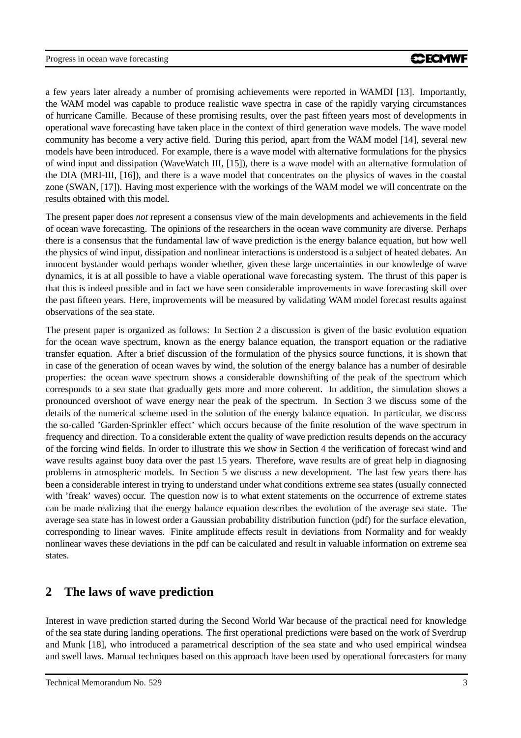a few years later already a number of promising achievements were reported in WAMDI [13]. Importantly, the WAM model was capable to produce realistic wave spectra in case of the rapidly varying circumstances of hurricane Camille. Because of these promising results, over the past fifteen years most of developments in operational wave forecasting have taken place in the context of third generation wave models. The wave model community has become a very active field. During this period, apart from the WAM model [14], several new models have been introduced. For example, there is a wave model with alternative formulations for the physics of wind input and dissipation (WaveWatch III, [15]), there is a wave model with an alternative formulation of the DIA (MRI-III, [16]), and there is a wave model that concentrates on the physics of waves in the coastal zone (SWAN, [17]). Having most experience with the workings of the WAM model we will concentrate on the results obtained with this model.

The present paper does *not* represent a consensus view of the main developments and achievements in the field of ocean wave forecasting. The opinions of the researchers in the ocean wave community are diverse. Perhaps there is a consensus that the fundamental law of wave prediction is the energy balance equation, but how well the physics of wind input, dissipation and nonlinear interactions is understood is a subject of heated debates. An innocent bystander would perhaps wonder whether, given these large uncertainties in our knowledge of wave dynamics, it is at all possible to have a viable operational wave forecasting system. The thrust of this paper is that this is indeed possible and in fact we have seen considerable improvements in wave forecasting skill over the past fifteen years. Here, improvements will be measured by validating WAM model forecast results against observations of the sea state.

The present paper is organized as follows: In Section 2 a discussion is given of the basic evolution equation for the ocean wave spectrum, known as the energy balance equation, the transport equation or the radiative transfer equation. After a brief discussion of the formulation of the physics source functions, it is shown that in case of the generation of ocean waves by wind, the solution of the energy balance has a number of desirable properties: the ocean wave spectrum shows a considerable downshifting of the peak of the spectrum which corresponds to a sea state that gradually gets more and more coherent. In addition, the simulation shows a pronounced overshoot of wave energy near the peak of the spectrum. In Section 3 we discuss some of the details of the numerical scheme used in the solution of the energy balance equation. In particular, we discuss the so-called 'Garden-Sprinkler effect' which occurs because of the finite resolution of the wave spectrum in frequency and direction. To a considerable extent the quality of wave prediction results depends on the accuracy of the forcing wind fields. In order to illustrate this we show in Section 4 the verification of forecast wind and wave results against buoy data over the past 15 years. Therefore, wave results are of great help in diagnosing problems in atmospheric models. In Section 5 we discuss a new development. The last few years there has been a considerable interest in trying to understand under what conditions extreme sea states (usually connected with 'freak' waves) occur. The question now is to what extent statements on the occurrence of extreme states can be made realizing that the energy balance equation describes the evolution of the average sea state. The average sea state has in lowest order a Gaussian probability distribution function (pdf) for the surface elevation, corresponding to linear waves. Finite amplitude effects result in deviations from Normality and for weakly nonlinear waves these deviations in the pdf can be calculated and result in valuable information on extreme sea states.

# **2 The laws of wave prediction**

Interest in wave prediction started during the Second World War because of the practical need for knowledge of the sea state during landing operations. The first operational predictions were based on the work of Sverdrup and Munk [18], who introduced a parametrical description of the sea state and who used empirical windsea and swell laws. Manual techniques based on this approach have been used by operational forecasters for many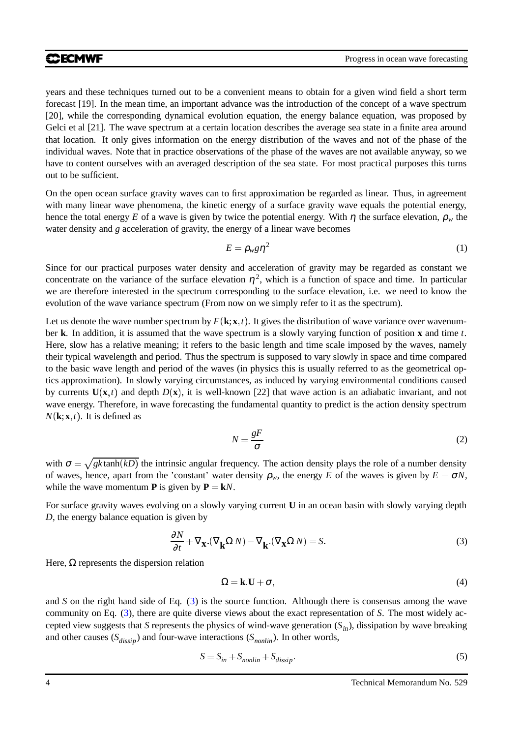years and these techniques turned out to be a convenient means to obtain for a given wind field a short term forecast [19]. In the mean time, an important advance was the introduction of the concept of a wave spectrum [20], while the corresponding dynamical evolution equation, the energy balance equation, was proposed by Gelci et al [21]. The wave spectrum at a certain location describes the average sea state in a finite area around that location. It only gives information on the energy distribution of the waves and not of the phase of the individual waves. Note that in practice observations of the phase of the waves are not available anyway, so we have to content ourselves with an averaged description of the sea state. For most practical purposes this turns out to be sufficient.

On the open ocean surface gravity waves can to first approximation be regarded as linear. Thus, in agreement with many linear wave phenomena, the kinetic energy of a surface gravity wave equals the potential energy, hence the total energy *E* of a wave is given by twice the potential energy. With  $\eta$  the surface elevation,  $\rho_w$  the water density and *g* acceleration of gravity, the energy of a linear wave becomes

$$
E = \rho_w g \eta^2 \tag{1}
$$

Since for our practical purposes water density and acceleration of gravity may be regarded as constant we concentrate on the variance of the surface elevation  $\eta^2$ , which is a function of space and time. In particular we are therefore interested in the spectrum corresponding to the surface elevation, i.e. we need to know the evolution of the wave variance spectrum (From now on we simply refer to it as the spectrum).

Let us denote the wave number spectrum by  $F(\mathbf{k}; \mathbf{x}, t)$ . It gives the distribution of wave variance over wavenumber **k**. In addition, it is assumed that the wave spectrum is a slowly varying function of position **x** and time *t*. Here, slow has a relative meaning; it refers to the basic length and time scale imposed by the waves, namely their typical wavelength and period. Thus the spectrum is supposed to vary slowly in space and time compared to the basic wave length and period of the waves (in physics this is usually referred to as the geometrical optics approximation). In slowly varying circumstances, as induced by varying environmental conditions caused by currents  $U(x, t)$  and depth  $D(x)$ , it is well-known [22] that wave action is an adiabatic invariant, and not wave energy. Therefore, in wave forecasting the fundamental quantity to predict is the action density spectrum  $N(\mathbf{k}; \mathbf{x}, t)$ . It is defined as

<span id="page-5-1"></span>
$$
N = \frac{gF}{\sigma} \tag{2}
$$

with  $\sigma = \sqrt{gk \tanh(kD)}$  the intrinsic angular frequency. The action density plays the role of a number density of waves, hence, apart from the 'constant' water density  $\rho_w$ , the energy *E* of the waves is given by  $E = \sigma N$ , while the wave momentum **P** is given by  $P = kN$ .

For surface gravity waves evolving on a slowly varying current **U** in an ocean basin with slowly varying depth *D*, the energy balance equation is given by

<span id="page-5-0"></span>
$$
\frac{\partial N}{\partial t} + \nabla_{\mathbf{X}} (\nabla_{\mathbf{k}} \Omega N) - \nabla_{\mathbf{k}} (\nabla_{\mathbf{X}} \Omega N) = S.
$$
 (3)

Here,  $\Omega$  represents the dispersion relation

$$
\Omega = \mathbf{k}.\mathbf{U} + \boldsymbol{\sigma},\tag{4}
$$

and *S* on the right hand side of Eq. [\(3\)](#page-5-0) is the source function. Although there is consensus among the wave community on Eq. [\(3\)](#page-5-0), there are quite diverse views about the exact representation of *S*. The most widely accepted view suggests that *S* represents the physics of wind-wave generation (*Sin*), dissipation by wave breaking and other causes (*Sdissip* ) and four-wave interactions (*Snonlin*). In other words,

$$
S = S_{in} + S_{nonlin} + S_{dissip}.\tag{5}
$$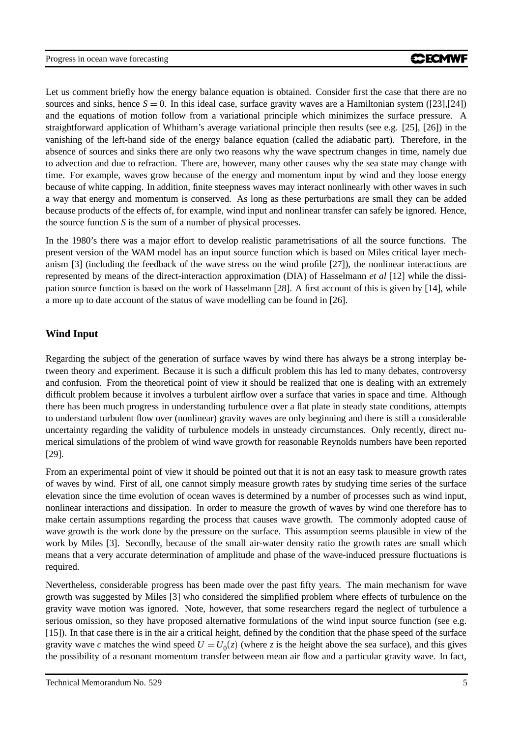Let us comment briefly how the energy balance equation is obtained. Consider first the case that there are no sources and sinks, hence  $S = 0$ . In this ideal case, surface gravity waves are a Hamiltonian system ([23],[24]) and the equations of motion follow from a variational principle which minimizes the surface pressure. A straightforward application of Whitham's average variational principle then results (see e.g. [25], [26]) in the vanishing of the left-hand side of the energy balance equation (called the adiabatic part). Therefore, in the absence of sources and sinks there are only two reasons why the wave spectrum changes in time, namely due to advection and due to refraction. There are, however, many other causes why the sea state may change with time. For example, waves grow because of the energy and momentum input by wind and they loose energy because of white capping. In addition, finite steepness waves may interact nonlinearly with other waves in such a way that energy and momentum is conserved. As long as these perturbations are small they can be added because products of the effects of, for example, wind input and nonlinear transfer can safely be ignored. Hence, the source function *S* is the sum of a number of physical processes.

In the 1980's there was a major effort to develop realistic parametrisations of all the source functions. The present version of the WAM model has an input source function which is based on Miles critical layer mechanism [3] (including the feedback of the wave stress on the wind profile [27]), the nonlinear interactions are represented by means of the direct-interaction approximation (DIA) of Hasselmann *et al* [12] while the dissipation source function is based on the work of Hasselmann [28]. A first account of this is given by [14], while a more up to date account of the status of wave modelling can be found in [26].

# **Wind Input**

Regarding the subject of the generation of surface waves by wind there has always be a strong interplay between theory and experiment. Because it is such a difficult problem this has led to many debates, controversy and confusion. From the theoretical point of view it should be realized that one is dealing with an extremely difficult problem because it involves a turbulent airflow over a surface that varies in space and time. Although there has been much progress in understanding turbulence over a flat plate in steady state conditions, attempts to understand turbulent flow over (nonlinear) gravity waves are only beginning and there is still a considerable uncertainty regarding the validity of turbulence models in unsteady circumstances. Only recently, direct numerical simulations of the problem of wind wave growth for reasonable Reynolds numbers have been reported [29].

From an experimental point of view it should be pointed out that it is not an easy task to measure growth rates of waves by wind. First of all, one cannot simply measure growth rates by studying time series of the surface elevation since the time evolution of ocean waves is determined by a number of processes such as wind input, nonlinear interactions and dissipation. In order to measure the growth of waves by wind one therefore has to make certain assumptions regarding the process that causes wave growth. The commonly adopted cause of wave growth is the work done by the pressure on the surface. This assumption seems plausible in view of the work by Miles [3]. Secondly, because of the small air-water density ratio the growth rates are small which means that a very accurate determination of amplitude and phase of the wave-induced pressure fluctuations is required.

Nevertheless, considerable progress has been made over the past fifty years. The main mechanism for wave growth was suggested by Miles [3] who considered the simplified problem where effects of turbulence on the gravity wave motion was ignored. Note, however, that some researchers regard the neglect of turbulence a serious omission, so they have proposed alternative formulations of the wind input source function (see e.g. [15]). In that case there is in the air a critical height, defined by the condition that the phase speed of the surface gravity wave *c* matches the wind speed  $U = U_0(z)$  (where *z* is the height above the sea surface), and this gives the possibility of a resonant momentum transfer between mean air flow and a particular gravity wave. In fact,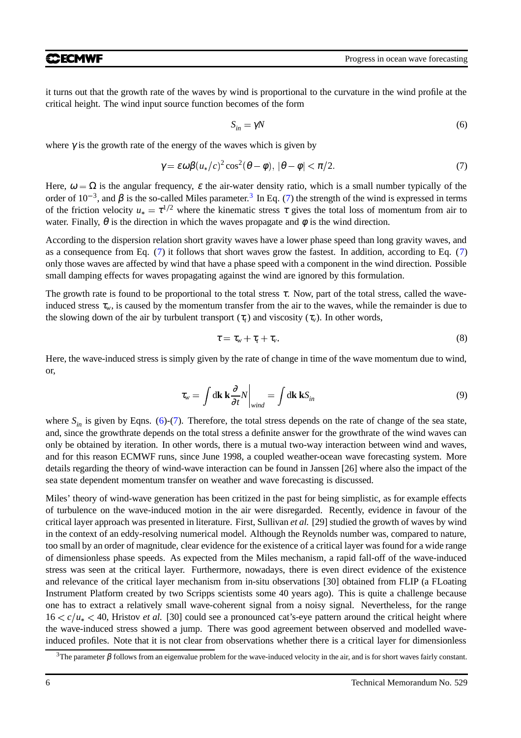it turns out that the growth rate of the waves by wind is proportional to the curvature in the wind profile at the critical height. The wind input source function becomes of the form

$$
S_{in} = \gamma N \tag{6}
$$

<span id="page-7-1"></span>where  $\gamma$  is the growth rate of the energy of the waves which is given by

<span id="page-7-2"></span>
$$
\gamma = \varepsilon \omega \beta (u_*/c)^2 \cos^2(\theta - \phi), \ |\theta - \phi| < \pi/2. \tag{7}
$$

Here,  $\omega = \Omega$  is the angular frequency,  $\varepsilon$  the air-water density ratio, which is a small number typically of the order of  $10^{-3}$  $10^{-3}$  $10^{-3}$ , and  $\beta$  is the so-called Miles parameter.<sup>3</sup> In Eq. [\(7\)](#page-7-1) the strength of the wind is expressed in terms of the friction velocity  $u_* = \tau^{1/2}$  where the kinematic stress  $\tau$  gives the total loss of momentum from air to water. Finally,  $\theta$  is the direction in which the waves propagate and  $\phi$  is the wind direction.

According to the dispersion relation short gravity waves have a lower phase speed than long gravity waves, and as a consequence from Eq. [\(7\)](#page-7-1) it follows that short waves grow the fastest. In addition, according to Eq. [\(7\)](#page-7-1) only those waves are affected by wind that have a phase speed with a component in the wind direction. Possible small damping effects for waves propagating against the wind are ignored by this formulation.

The growth rate is found to be proportional to the total stress  $\tau$ . Now, part of the total stress, called the waveinduced stress  $\tau_w$ , is caused by the momentum transfer from the air to the waves, while the remainder is due to the slowing down of the air by turbulent transport  $(\tau_t)$  and viscosity  $(\tau_v)$ . In other words,

$$
\tau = \tau_w + \tau_t + \tau_v. \tag{8}
$$

Here, the wave-induced stress is simply given by the rate of change in time of the wave momentum due to wind, or,

$$
\tau_w = \int d\mathbf{k} \, \mathbf{k} \frac{\partial}{\partial t} N \bigg|_{wind} = \int d\mathbf{k} \, \mathbf{k} S_{in}
$$
\n(9)

where  $S_{in}$  is given by Eqns. [\(6\)](#page-7-2)-[\(7\)](#page-7-1). Therefore, the total stress depends on the rate of change of the sea state, and, since the growthrate depends on the total stress a definite answer for the growthrate of the wind waves can only be obtained by iteration. In other words, there is a mutual two-way interaction between wind and waves, and for this reason ECMWF runs, since June 1998, a coupled weather-ocean wave forecasting system. More details regarding the theory of wind-wave interaction can be found in Janssen [26] where also the impact of the sea state dependent momentum transfer on weather and wave forecasting is discussed.

Miles' theory of wind-wave generation has been critized in the past for being simplistic, as for example effects of turbulence on the wave-induced motion in the air were disregarded. Recently, evidence in favour of the critical layer approach was presented in literature. First, Sullivan *et al.* [29] studied the growth of waves by wind in the context of an eddy-resolving numerical model. Although the Reynolds number was, compared to nature, too small by an order of magnitude, clear evidence for the existence of a critical layer was found for a wide range of dimensionless phase speeds. As expected from the Miles mechanism, a rapid fall-off of the wave-induced stress was seen at the critical layer. Furthermore, nowadays, there is even direct evidence of the existence and relevance of the critical layer mechanism from in-situ observations [30] obtained from FLIP (a FLoating Instrument Platform created by two Scripps scientists some 40 years ago). This is quite a challenge because one has to extract a relatively small wave-coherent signal from a noisy signal. Nevertheless, for the range  $16 < c/u_* < 40$ , Hristov *et al.* [30] could see a pronounced cat's-eye pattern around the critical height where the wave-induced stress showed a jump. There was good agreement between observed and modelled waveinduced profiles. Note that it is not clear from observations whether there is a critical layer for dimensionless

<span id="page-7-0"></span><sup>&</sup>lt;sup>3</sup>The parameter  $\beta$  follows from an eigenvalue problem for the wave-induced velocity in the air, and is for short waves fairly constant.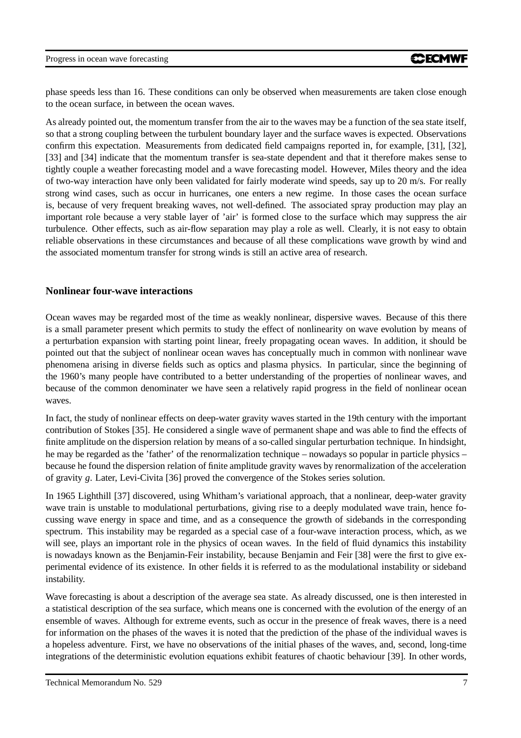phase speeds less than 16. These conditions can only be observed when measurements are taken close enough to the ocean surface, in between the ocean waves.

As already pointed out, the momentum transfer from the air to the waves may be a function of the sea state itself, so that a strong coupling between the turbulent boundary layer and the surface waves is expected. Observations confirm this expectation. Measurements from dedicated field campaigns reported in, for example, [31], [32], [33] and [34] indicate that the momentum transfer is sea-state dependent and that it therefore makes sense to tightly couple a weather forecasting model and a wave forecasting model. However, Miles theory and the idea of two-way interaction have only been validated for fairly moderate wind speeds, say up to 20 m/s. For really strong wind cases, such as occur in hurricanes, one enters a new regime. In those cases the ocean surface is, because of very frequent breaking waves, not well-defined. The associated spray production may play an important role because a very stable layer of 'air' is formed close to the surface which may suppress the air turbulence. Other effects, such as air-flow separation may play a role as well. Clearly, it is not easy to obtain reliable observations in these circumstances and because of all these complications wave growth by wind and the associated momentum transfer for strong winds is still an active area of research.

# **Nonlinear four-wave interactions**

Ocean waves may be regarded most of the time as weakly nonlinear, dispersive waves. Because of this there is a small parameter present which permits to study the effect of nonlinearity on wave evolution by means of a perturbation expansion with starting point linear, freely propagating ocean waves. In addition, it should be pointed out that the subject of nonlinear ocean waves has conceptually much in common with nonlinear wave phenomena arising in diverse fields such as optics and plasma physics. In particular, since the beginning of the 1960's many people have contributed to a better understanding of the properties of nonlinear waves, and because of the common denominater we have seen a relatively rapid progress in the field of nonlinear ocean waves.

In fact, the study of nonlinear effects on deep-water gravity waves started in the 19th century with the important contribution of Stokes [35]. He considered a single wave of permanent shape and was able to find the effects of finite amplitude on the dispersion relation by means of a so-called singular perturbation technique. In hindsight, he may be regarded as the 'father' of the renormalization technique – nowadays so popular in particle physics – because he found the dispersion relation of finite amplitude gravity waves by renormalization of the acceleration of gravity *g*. Later, Levi-Civita [36] proved the convergence of the Stokes series solution.

In 1965 Lighthill [37] discovered, using Whitham's variational approach, that a nonlinear, deep-water gravity wave train is unstable to modulational perturbations, giving rise to a deeply modulated wave train, hence focussing wave energy in space and time, and as a consequence the growth of sidebands in the corresponding spectrum. This instability may be regarded as a special case of a four-wave interaction process, which, as we will see, plays an important role in the physics of ocean waves. In the field of fluid dynamics this instability is nowadays known as the Benjamin-Feir instability, because Benjamin and Feir [38] were the first to give experimental evidence of its existence. In other fields it is referred to as the modulational instability or sideband instability.

Wave forecasting is about a description of the average sea state. As already discussed, one is then interested in a statistical description of the sea surface, which means one is concerned with the evolution of the energy of an ensemble of waves. Although for extreme events, such as occur in the presence of freak waves, there is a need for information on the phases of the waves it is noted that the prediction of the phase of the individual waves is a hopeless adventure. First, we have no observations of the initial phases of the waves, and, second, long-time integrations of the deterministic evolution equations exhibit features of chaotic behaviour [39]. In other words,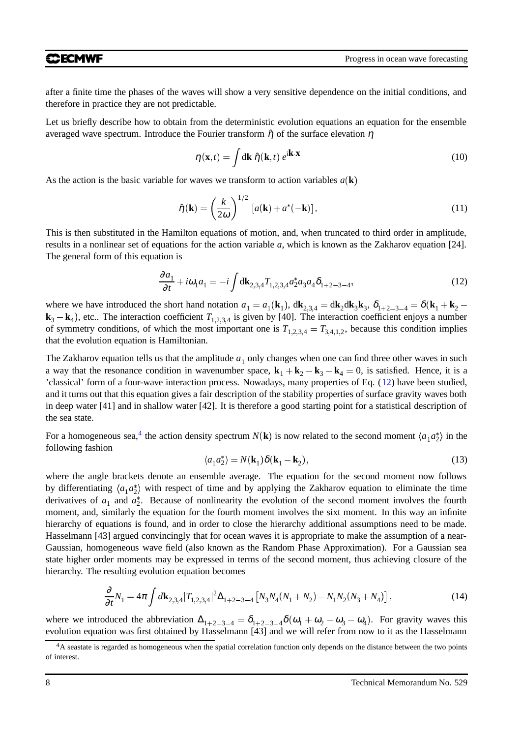#### **CCECMWF**

after a finite time the phases of the waves will show a very sensitive dependence on the initial conditions, and therefore in practice they are not predictable.

Let us briefly describe how to obtain from the deterministic evolution equations an equation for the ensemble averaged wave spectrum. Introduce the Fourier transform  $\hat{\eta}$  of the surface elevation  $\eta$ 

$$
\eta(\mathbf{x},t) = \int d\mathbf{k} \; \hat{\eta}(\mathbf{k},t) \; e^{i\mathbf{k}\cdot\mathbf{x}} \tag{10}
$$

As the action is the basic variable for waves we transform to action variables  $a(\mathbf{k})$ 

$$
\hat{\eta}(\mathbf{k}) = \left(\frac{k}{2\omega}\right)^{1/2} [a(\mathbf{k}) + a^*(-\mathbf{k})].
$$
\n(11)

<span id="page-9-0"></span>This is then substituted in the Hamilton equations of motion, and, when truncated to third order in amplitude, results in a nonlinear set of equations for the action variable *a*, which is known as the Zakharov equation [24]. The general form of this equation is

$$
\frac{\partial a_1}{\partial t} + i\omega_1 a_1 = -i \int d\mathbf{k}_{2,3,4} T_{1,2,3,4} a_2^* a_3 a_4 \delta_{1+2-3-4},\tag{12}
$$

where we have introduced the short hand notation  $a_1 = a_1(\mathbf{k}_1)$ ,  $d\mathbf{k}_{2,3,4} = d\mathbf{k}_2 d\mathbf{k}_3 \mathbf{k}_3$ ,  $\delta_{1+2-3-4} = \delta(\mathbf{k}_1 + \mathbf{k}_2 - \mathbf{k}_3)$  $\mathbf{k}_3 - \mathbf{k}_4$ ), etc.. The interaction coefficient  $T_{1,2,3,4}$  is given by [40]. The interaction coefficient enjoys a number of symmetry conditions, of which the most important one is  $T_{1,2,3,4} = T_{3,4,1,2}$ , because this condition implies that the evolution equation is Hamiltonian.

The Zakharov equation tells us that the amplitude  $a_1$  only changes when one can find three other waves in such a way that the resonance condition in wavenumber space,  $\mathbf{k}_1 + \mathbf{k}_2 - \mathbf{k}_3 - \mathbf{k}_4 = 0$ , is satisfied. Hence, it is a 'classical' form of a four-wave interaction process. Nowadays, many properties of Eq. [\(12\)](#page-9-0) have been studied, and it turns out that this equation gives a fair description of the stability properties of surface gravity waves both in deep water [41] and in shallow water [42]. It is therefore a good starting point for a statistical description of the sea state.

For a homogeneous sea,<sup>[4](#page-9-1)</sup> the action density spectrum  $N(\bf{k})$  is now related to the second moment  $\langle a_1 a_2^* \rangle$  in the following fashion

$$
\langle a_1 a_2^* \rangle = N(\mathbf{k}_1) \delta(\mathbf{k}_1 - \mathbf{k}_2), \tag{13}
$$

where the angle brackets denote an ensemble average. The equation for the second moment now follows by differentiating  $\langle a_1 a_2^* \rangle$  with respect of time and by applying the Zakharov equation to eliminate the time derivatives of  $a_1$  and  $a_2^*$ . Because of nonlinearity the evolution of the second moment involves the fourth moment, and, similarly the equation for the fourth moment involves the sixt moment. In this way an infinite hierarchy of equations is found, and in order to close the hierarchy additional assumptions need to be made. Hasselmann [43] argued convincingly that for ocean waves it is appropriate to make the assumption of a near-Gaussian, homogeneous wave field (also known as the Random Phase Approximation). For a Gaussian sea state higher order moments may be expressed in terms of the second moment, thus achieving closure of the hierarchy. The resulting evolution equation becomes

$$
\frac{\partial}{\partial t}N_1 = 4\pi \int d\mathbf{k}_{2,3,4} |T_{1,2,3,4}|^2 \Delta_{1+2-3-4} \left[ N_3 N_4 (N_1 + N_2) - N_1 N_2 (N_3 + N_4) \right],\tag{14}
$$

<span id="page-9-2"></span>where we introduced the abbreviation  $\Delta_{1+2-3-4} = \delta_{1+2-3-4} \delta(\omega_1 + \omega_2 - \omega_3 - \omega_4)$ . For gravity waves this evolution equation was first obtained by Hasselmann [43] and we will refer from now to it as the Hasselmann

<span id="page-9-1"></span><sup>&</sup>lt;sup>4</sup>A seastate is regarded as homogeneous when the spatial correlation function only depends on the distance between the two points of interest.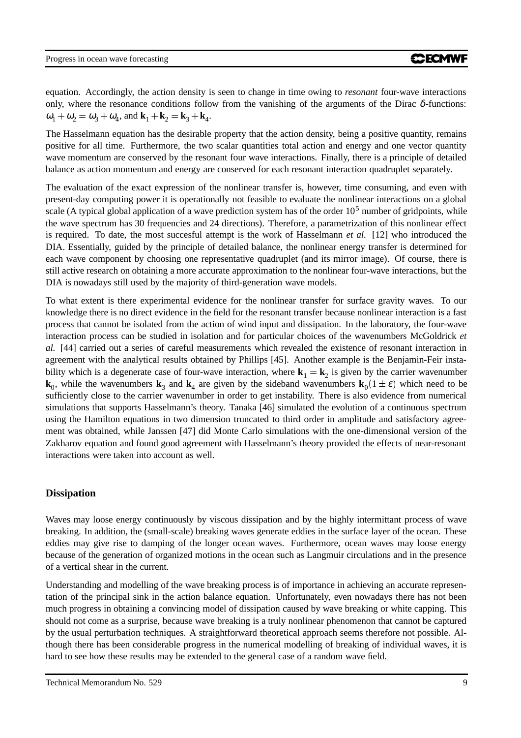equation. Accordingly, the action density is seen to change in time owing to *resonant* four-wave interactions only, where the resonance conditions follow from the vanishing of the arguments of the Dirac δ-functions:  $\omega_1 + \omega_2 = \omega_3 + \omega_4$ , and  $\mathbf{k}_1 + \mathbf{k}_2 = \mathbf{k}_3 + \mathbf{k}_4$ .

The Hasselmann equation has the desirable property that the action density, being a positive quantity, remains positive for all time. Furthermore, the two scalar quantities total action and energy and one vector quantity wave momentum are conserved by the resonant four wave interactions. Finally, there is a principle of detailed balance as action momentum and energy are conserved for each resonant interaction quadruplet separately.

The evaluation of the exact expression of the nonlinear transfer is, however, time consuming, and even with present-day computing power it is operationally not feasible to evaluate the nonlinear interactions on a global scale (A typical global application of a wave prediction system has of the order  $10<sup>5</sup>$  number of gridpoints, while the wave spectrum has 30 frequencies and 24 directions). Therefore, a parametrization of this nonlinear effect is required. To date, the most succesful attempt is the work of Hasselmann *et al.* [12] who introduced the DIA. Essentially, guided by the principle of detailed balance, the nonlinear energy transfer is determined for each wave component by choosing one representative quadruplet (and its mirror image). Of course, there is still active research on obtaining a more accurate approximation to the nonlinear four-wave interactions, but the DIA is nowadays still used by the majority of third-generation wave models.

To what extent is there experimental evidence for the nonlinear transfer for surface gravity waves. To our knowledge there is no direct evidence in the field for the resonant transfer because nonlinear interaction is a fast process that cannot be isolated from the action of wind input and dissipation. In the laboratory, the four-wave interaction process can be studied in isolation and for particular choices of the wavenumbers McGoldrick *et al.* [44] carried out a series of careful measurements which revealed the existence of resonant interaction in agreement with the analytical results obtained by Phillips [45]. Another example is the Benjamin-Feir instability which is a degenerate case of four-wave interaction, where  $\mathbf{k}_1 = \mathbf{k}_2$  is given by the carrier wavenumber  $\mathbf{k}_0$ , while the wavenumbers  $\mathbf{k}_3$  and  $\mathbf{k}_4$  are given by the sideband wavenumbers  $\mathbf{k}_0(1 \pm \varepsilon)$  which need to be sufficiently close to the carrier wavenumber in order to get instability. There is also evidence from numerical simulations that supports Hasselmann's theory. Tanaka [46] simulated the evolution of a continuous spectrum using the Hamilton equations in two dimension truncated to third order in amplitude and satisfactory agreement was obtained, while Janssen [47] did Monte Carlo simulations with the one-dimensional version of the Zakharov equation and found good agreement with Hasselmann's theory provided the effects of near-resonant interactions were taken into account as well.

#### **Dissipation**

Waves may loose energy continuously by viscous dissipation and by the highly intermittant process of wave breaking. In addition, the (small-scale) breaking waves generate eddies in the surface layer of the ocean. These eddies may give rise to damping of the longer ocean waves. Furthermore, ocean waves may loose energy because of the generation of organized motions in the ocean such as Langmuir circulations and in the presence of a vertical shear in the current.

Understanding and modelling of the wave breaking process is of importance in achieving an accurate representation of the principal sink in the action balance equation. Unfortunately, even nowadays there has not been much progress in obtaining a convincing model of dissipation caused by wave breaking or white capping. This should not come as a surprise, because wave breaking is a truly nonlinear phenomenon that cannot be captured by the usual perturbation techniques. A straightforward theoretical approach seems therefore not possible. Although there has been considerable progress in the numerical modelling of breaking of individual waves, it is hard to see how these results may be extended to the general case of a random wave field.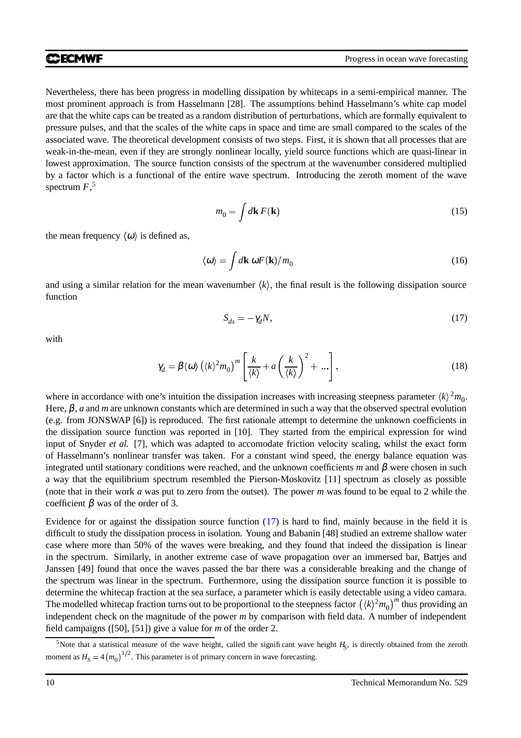### **CCECMWF**

Nevertheless, there has been progress in modelling dissipation by whitecaps in a semi-empirical manner. The most prominent approach is from Hasselmann [28]. The assumptions behind Hasselmann's white cap model are that the white caps can be treated as a random distribution of perturbations, which are formally equivalent to pressure pulses, and that the scales of the white caps in space and time are small compared to the scales of the associated wave. The theoretical development consists of two steps. First, it is shown that all processes that are weak-in-the-mean, even if they are strongly nonlinear locally, yield source functions which are quasi-linear in lowest approximation. The source function consists of the spectrum at the wavenumber considered multiplied by a factor which is a functional of the entire wave spectrum. Introducing the zeroth moment of the wave spectrum *F*, [5](#page-11-0)

$$
m_0 = \int d\mathbf{k} \, F(\mathbf{k}) \tag{15}
$$

the mean frequency  $\langle \omega \rangle$  is defined as,

<span id="page-11-2"></span>
$$
\langle \omega \rangle = \int d\mathbf{k} \,\omega F(\mathbf{k}) / m_0 \tag{16}
$$

and using a similar relation for the mean wavenumber  $\langle k \rangle$ , the final result is the following dissipation source function

$$
S_{ds} = -\gamma_d N,\tag{17}
$$

with

<span id="page-11-1"></span>
$$
\gamma_d = \beta \langle \omega \rangle \left( \langle k \rangle^2 m_0 \right)^m \left[ \frac{k}{\langle k \rangle} + a \left( \frac{k}{\langle k \rangle} \right)^2 + \dots \right],\tag{18}
$$

where in accordance with one's intuition the dissipation increases with increasing steepness parameter  $\langle k \rangle^2 m_0$ . Here, β, *a* and *m* are unknown constants which are determined in such a way that the observed spectral evolution (e.g. from JONSWAP [6]) is reproduced. The first rationale attempt to determine the unknown coefficients in the dissipation source function was reported in [10]. They started from the empirical expression for wind input of Snyder *et al.* [7], which was adapted to accomodate friction velocity scaling, whilst the exact form of Hasselmann's nonlinear transfer was taken. For a constant wind speed, the energy balance equation was integrated until stationary conditions were reached, and the unknown coefficients *m* and β were chosen in such a way that the equilibrium spectrum resembled the Pierson-Moskovitz [11] spectrum as closely as possible (note that in their work *a* was put to zero from the outset). The power *m* was found to be equal to 2 while the coefficient  $\beta$  was of the order of 3.

Evidence for or against the dissipation source function [\(17\)](#page-11-1) is hard to find, mainly because in the field it is difficult to study the dissipation process in isolation. Young and Babanin [48] studied an extreme shallow water case where more than 50% of the waves were breaking, and they found that indeed the dissipation is linear in the spectrum. Similarly, in another extreme case of wave propagation over an immersed bar, Battjes and Janssen [49] found that once the waves passed the bar there was a considerable breaking and the change of the spectrum was linear in the spectrum. Furthermore, using the dissipation source function it is possible to determine the whitecap fraction at the sea surface, a parameter which is easily detectable using a video camara. The modelled whitecap fraction turns out to be proportional to the steepness factor  $(\langle k \rangle^2 m_0)^m$  thus providing an independent check on the magnitude of the power *m* by comparison with field data. A number of independent field campaigns ([50], [51]) give a value for *m* of the order 2.

<span id="page-11-0"></span><sup>&</sup>lt;sup>5</sup>Note that a statistical measure of the wave height, called the significant wave height *H*<sub>S</sub>, is directly obtained from the zeroth moment as  $H_S = 4 (m_0)^{1/2}$ . This parameter is of primary concern in wave forecasting.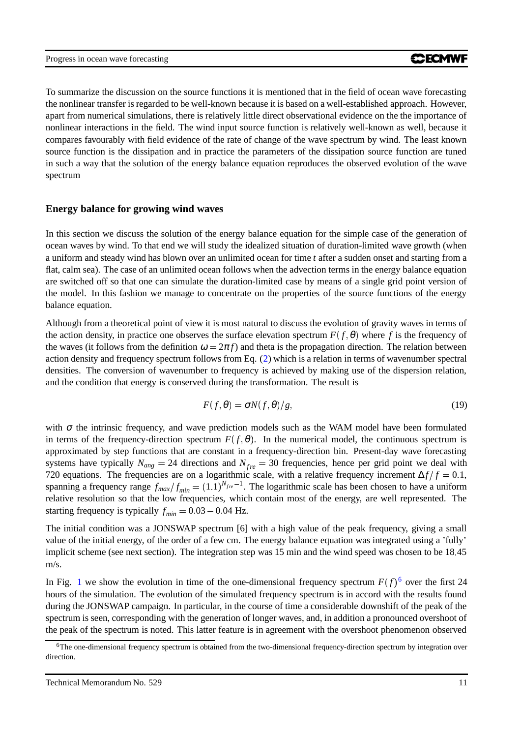To summarize the discussion on the source functions it is mentioned that in the field of ocean wave forecasting the nonlinear transfer is regarded to be well-known because it is based on a well-established approach. However, apart from numerical simulations, there is relatively little direct observational evidence on the the importance of nonlinear interactions in the field. The wind input source function is relatively well-known as well, because it compares favourably with field evidence of the rate of change of the wave spectrum by wind. The least known source function is the dissipation and in practice the parameters of the dissipation source function are tuned in such a way that the solution of the energy balance equation reproduces the observed evolution of the wave spectrum

#### **Energy balance for growing wind waves**

In this section we discuss the solution of the energy balance equation for the simple case of the generation of ocean waves by wind. To that end we will study the idealized situation of duration-limited wave growth (when a uniform and steady wind has blown over an unlimited ocean for time *t* after a sudden onset and starting from a flat, calm sea). The case of an unlimited ocean follows when the advection terms in the energy balance equation are switched off so that one can simulate the duration-limited case by means of a single grid point version of the model. In this fashion we manage to concentrate on the properties of the source functions of the energy balance equation.

Although from a theoretical point of view it is most natural to discuss the evolution of gravity waves in terms of the action density, in practice one observes the surface elevation spectrum  $F(f, \theta)$  where f is the frequency of the waves (it follows from the definition  $\omega = 2\pi f$ ) and theta is the propagation direction. The relation between action density and frequency spectrum follows from Eq. [\(2\)](#page-5-1) which is a relation in terms of wavenumber spectral densities. The conversion of wavenumber to frequency is achieved by making use of the dispersion relation, and the condition that energy is conserved during the transformation. The result is

$$
F(f,\theta) = \sigma N(f,\theta)/g,\tag{19}
$$

with  $\sigma$  the intrinsic frequency, and wave prediction models such as the WAM model have been formulated in terms of the frequency-direction spectrum  $F(f, \theta)$ . In the numerical model, the continuous spectrum is approximated by step functions that are constant in a frequency-direction bin. Present-day wave forecasting systems have typically  $N_{ang} = 24$  directions and  $N_{fre} = 30$  frequencies, hence per grid point we deal with 720 equations. The frequencies are on a logarithmic scale, with a relative frequency increment  $\Delta f/f = 0.1$ , spanning a frequency range  $f_{max}/f_{min} = (1.1)^{N_{fre}-1}$ . The logarithmic scale has been chosen to have a uniform relative resolution so that the low frequencies, which contain most of the energy, are well represented. The starting frequency is typically  $f_{min} = 0.03 - 0.04$  Hz.

The initial condition was a JONSWAP spectrum [6] with a high value of the peak frequency, giving a small value of the initial energy, of the order of a few cm. The energy balance equation was integrated using a 'fully' implicit scheme (see next section). The integration step was 15 min and the wind speed was chosen to be 18 45 m/s.

In Fig. [1](#page-13-0) we show the evolution in time of the one-dimensional frequency spectrum  $F(f)$ <sup>[6](#page-12-0)</sup> over the first 24 hours of the simulation. The evolution of the simulated frequency spectrum is in accord with the results found during the JONSWAP campaign. In particular, in the course of time a considerable downshift of the peak of the spectrum is seen, corresponding with the generation of longer waves, and, in addition a pronounced overshoot of the peak of the spectrum is noted. This latter feature is in agreement with the overshoot phenomenon observed

<span id="page-12-0"></span> $6$ The one-dimensional frequency spectrum is obtained from the two-dimensional frequency-direction spectrum by integration over direction.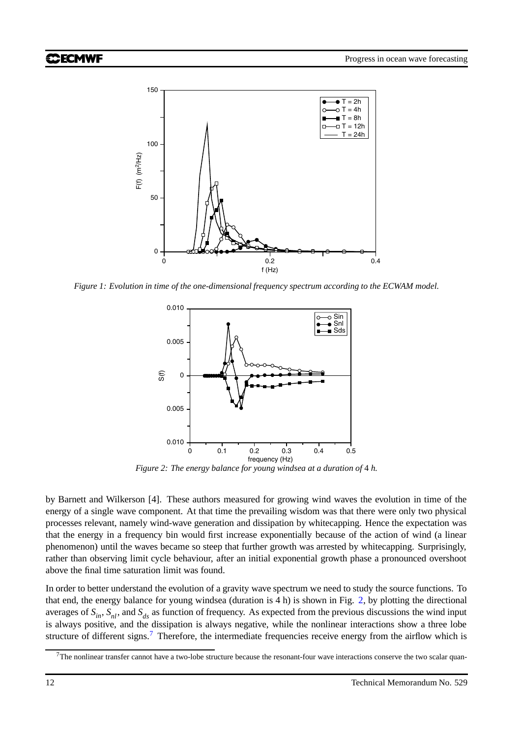

<span id="page-13-0"></span>*Figure 1: Evolution in time of the one-dimensional frequency spectrum according to the ECWAM model.*



<span id="page-13-1"></span>*Figure 2: The energy balance for young windsea at a duration of* 4 *h.*

by Barnett and Wilkerson [4]. These authors measured for growing wind waves the evolution in time of the energy of a single wave component. At that time the prevailing wisdom was that there were only two physical processes relevant, namely wind-wave generation and dissipation by whitecapping. Hence the expectation was that the energy in a frequency bin would first increase exponentially because of the action of wind (a linear phenomenon) until the waves became so steep that further growth was arrested by whitecapping. Surprisingly, rather than observing limit cycle behaviour, after an initial exponential growth phase a pronounced overshoot above the final time saturation limit was found.

In order to better understand the evolution of a gravity wave spectrum we need to study the source functions. To that end, the energy balance for young windsea (duration is 4 h) is shown in Fig. [2,](#page-13-1) by plotting the directional averages of  $S_{in}$ ,  $S_{nl}$ , and  $S_{ds}$  as function of frequency. As expected from the previous discussions the wind input is always positive, and the dissipation is always negative, while the nonlinear interactions show a three lobe structure of different signs.<sup>[7](#page-13-2)</sup> Therefore, the intermediate frequencies receive energy from the airflow which is

<span id="page-13-2"></span>The nonlinear transfer cannot have a two-lobe structure because the resonant-four wave interactions conserve the two scalar quan-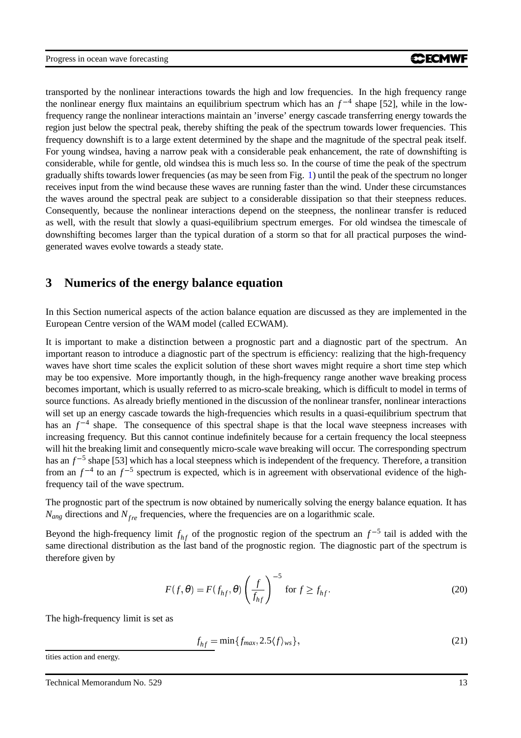transported by the nonlinear interactions towards the high and low frequencies. In the high frequency range the nonlinear energy flux maintains an equilibrium spectrum which has an  $f^{-4}$  shape [52], while in the lowfrequency range the nonlinear interactions maintain an 'inverse' energy cascade transferring energy towards the region just below the spectral peak, thereby shifting the peak of the spectrum towards lower frequencies. This frequency downshift is to a large extent determined by the shape and the magnitude of the spectral peak itself. For young windsea, having a narrow peak with a considerable peak enhancement, the rate of downshifting is considerable, while for gentle, old windsea this is much less so. In the course of time the peak of the spectrum gradually shifts towards lower frequencies (as may be seen from Fig. [1\)](#page-13-0) until the peak of the spectrum no longer receives input from the wind because these waves are running faster than the wind. Under these circumstances the waves around the spectral peak are subject to a considerable dissipation so that their steepness reduces. Consequently, because the nonlinear interactions depend on the steepness, the nonlinear transfer is reduced as well, with the result that slowly a quasi-equilibrium spectrum emerges. For old windsea the timescale of downshifting becomes larger than the typical duration of a storm so that for all practical purposes the windgenerated waves evolve towards a steady state.

# **3 Numerics of the energy balance equation**

In this Section numerical aspects of the action balance equation are discussed as they are implemented in the European Centre version of the WAM model (called ECWAM).

It is important to make a distinction between a prognostic part and a diagnostic part of the spectrum. An important reason to introduce a diagnostic part of the spectrum is efficiency: realizing that the high-frequency waves have short time scales the explicit solution of these short waves might require a short time step which may be too expensive. More importantly though, in the high-frequency range another wave breaking process becomes important, which is usually referred to as micro-scale breaking, which is difficult to model in terms of source functions. As already briefly mentioned in the discussion of the nonlinear transfer, nonlinear interactions will set up an energy cascade towards the high-frequencies which results in a quasi-equilibrium spectrum that has an  $f^{-4}$  shape. The consequence of this spectral shape is that the local wave steepness increases with increasing frequency. But this cannot continue indefinitely because for a certain frequency the local steepness will hit the breaking limit and consequently micro-scale wave breaking will occur. The corresponding spectrum has an  $f^{-5}$  shape [53] which has a local steepness which is independent of the frequency. Therefore, a transition from an  $f^{-4}$  to an  $f^{-5}$  spectrum is expected, which is in agreement with observational evidence of the highfrequency tail of the wave spectrum.

The prognostic part of the spectrum is now obtained by numerically solving the energy balance equation. It has *Nang* directions and *Nfre* frequencies, where the frequencies are on a logarithmic scale.

Beyond the high-frequency limit  $f_{hf}$  of the prognostic region of the spectrum an  $f^{-5}$  tail is added with the same directional distribution as the last band of the prognostic region. The diagnostic part of the spectrum is therefore given by

$$
F(f,\theta) = F(f_{hf},\theta) \left(\frac{f}{f_{hf}}\right)^{-5} \text{ for } f \ge f_{hf}.
$$
 (20)

The high-frequency limit is set as

$$
f_{hf} = \min\{f_{max}, 2.5\langle f \rangle_{ws}\},\tag{21}
$$

tities action and energy.

 $\Gamma$ echnical Memorandum No. 529 13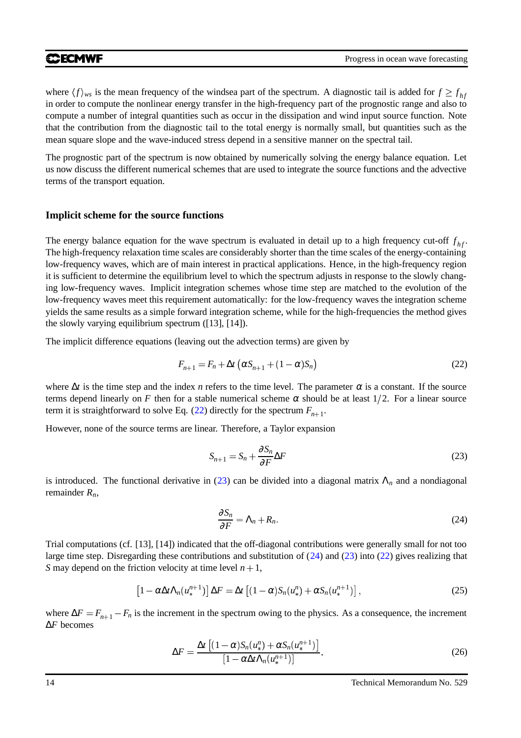# **CCECMWF**

where  $\langle f \rangle_{ws}$  is the mean frequency of the windsea part of the spectrum. A diagnostic tail is added for  $f \ge f_{hf}$ in order to compute the nonlinear energy transfer in the high-frequency part of the prognostic range and also to compute a number of integral quantities such as occur in the dissipation and wind input source function. Note that the contribution from the diagnostic tail to the total energy is normally small, but quantities such as the mean square slope and the wave-induced stress depend in a sensitive manner on the spectral tail.

The prognostic part of the spectrum is now obtained by numerically solving the energy balance equation. Let us now discuss the different numerical schemes that are used to integrate the source functions and the advective terms of the transport equation.

#### **Implicit scheme for the source functions**

The energy balance equation for the wave spectrum is evaluated in detail up to a high frequency cut-off  $f_{hf}$ . The high-frequency relaxation time scales are considerably shorter than the time scales of the energy-containing low-frequency waves, which are of main interest in practical applications. Hence, in the high-frequency region it is sufficient to determine the equilibrium level to which the spectrum adjusts in response to the slowly changing low-frequency waves. Implicit integration schemes whose time step are matched to the evolution of the low-frequency waves meet this requirement automatically: for the low-frequency waves the integration scheme yields the same results as a simple forward integration scheme, while for the high-frequencies the method gives the slowly varying equilibrium spectrum ([13], [14]).

The implicit difference equations (leaving out the advection terms) are given by

<span id="page-15-0"></span>
$$
F_{n+1} = F_n + \Delta t \left( \alpha S_{n+1} + (1 - \alpha) S_n \right) \tag{22}
$$

where  $\Delta t$  is the time step and the index *n* refers to the time level. The parameter  $\alpha$  is a constant. If the source terms depend linearly on *F* then for a stable numerical scheme  $\alpha$  should be at least 1/2. For a linear source term it is straightforward to solve Eq.  $(22)$  directly for the spectrum  $F_{n+1}$ .

However, none of the source terms are linear. Therefore, a Taylor expansion

<span id="page-15-1"></span>
$$
S_{n+1} = S_n + \frac{\partial S_n}{\partial F} \Delta F \tag{23}
$$

is introduced. The functional derivative in [\(23\)](#page-15-1) can be divided into a diagonal matrix  $\Lambda_n$  and a nondiagonal remainder *Rn*,

<span id="page-15-2"></span>
$$
\frac{\partial S_n}{\partial F} = \Lambda_n + R_n. \tag{24}
$$

Trial computations (cf. [13], [14]) indicated that the off-diagonal contributions were generally small for not too large time step. Disregarding these contributions and substitution of [\(24\)](#page-15-2) and [\(23\)](#page-15-1) into [\(22\)](#page-15-0) gives realizing that *S* may depend on the friction velocity at time level  $n + 1$ ,

$$
\left[1 - \alpha \Delta t \Lambda_n(u_*^{n+1})\right] \Delta F = \Delta t \left[ (1 - \alpha) S_n(u_*^n) + \alpha S_n(u_*^{n+1}) \right],\tag{25}
$$

where  $\Delta F = F_{n+1} - F_n$  is the increment in the spectrum owing to the physics. As a consequence, the increment ∆*F* becomes

$$
\Delta F = \frac{\Delta t \left[ (1 - \alpha) S_n(u_*^n) + \alpha S_n(u_*^{n+1}) \right]}{[1 - \alpha \Delta t \Lambda_n(u_*^{n+1})]}.
$$
\n(26)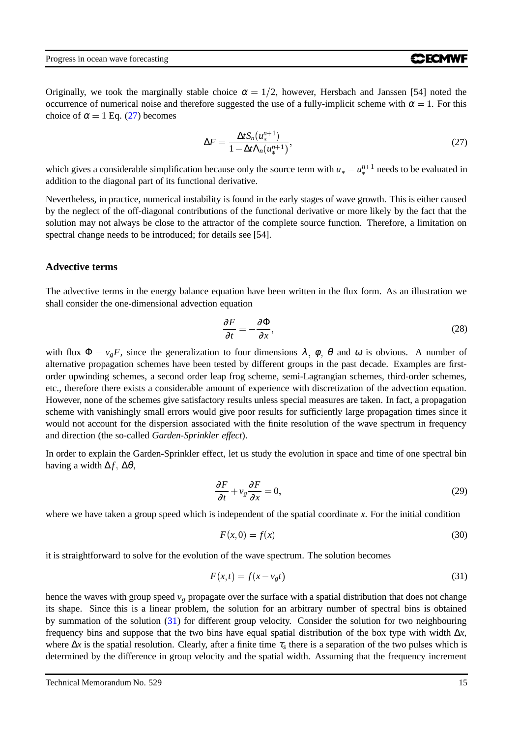Originally, we took the marginally stable choice  $\alpha = 1/2$ , however, Hersbach and Janssen [54] noted the occurrence of numerical noise and therefore suggested the use of a fully-implicit scheme with  $\alpha = 1$ . For this choice of  $\alpha = 1$  Eq. [\(27\)](#page-16-0) becomes

<span id="page-16-0"></span>
$$
\Delta F = \frac{\Delta t S_n(u_*^{n+1})}{1 - \Delta t \Lambda_n(u_*^{n+1})},\tag{27}
$$

which gives a considerable simplification because only the source term with  $u_* = u_*^{n+1}$  needs to be evaluated in addition to the diagonal part of its functional derivative.

Nevertheless, in practice, numerical instability is found in the early stages of wave growth. This is either caused by the neglect of the off-diagonal contributions of the functional derivative or more likely by the fact that the solution may not always be close to the attractor of the complete source function. Therefore, a limitation on spectral change needs to be introduced; for details see [54].

#### **Advective terms**

The advective terms in the energy balance equation have been written in the flux form. As an illustration we shall consider the one-dimensional advection equation

<span id="page-16-2"></span>
$$
\frac{\partial F}{\partial t} = -\frac{\partial \Phi}{\partial x},\tag{28}
$$

with flux  $\Phi = v_g F$ , since the generalization to four dimensions  $\lambda$ ,  $\phi$ ,  $\theta$  and  $\omega$  is obvious. A number of alternative propagation schemes have been tested by different groups in the past decade. Examples are firstorder upwinding schemes, a second order leap frog scheme, semi-Lagrangian schemes, third-order schemes, etc., therefore there exists a considerable amount of experience with discretization of the advection equation. However, none of the schemes give satisfactory results unless special measures are taken. In fact, a propagation scheme with vanishingly small errors would give poor results for sufficiently large propagation times since it would not account for the dispersion associated with the finite resolution of the wave spectrum in frequency and direction (the so-called *Garden-Sprinkler effect*).

In order to explain the Garden-Sprinkler effect, let us study the evolution in space and time of one spectral bin having a width  $\Delta f$ ,  $\Delta \theta$ ,

$$
\frac{\partial F}{\partial t} + v_g \frac{\partial F}{\partial x} = 0,\tag{29}
$$

where we have taken a group speed which is independent of the spatial coordinate *x*. For the initial condition

$$
F(x,0) = f(x) \tag{30}
$$

it is straightforward to solve for the evolution of the wave spectrum. The solution becomes

<span id="page-16-1"></span>
$$
F(x,t) = f(x - v_g t) \tag{31}
$$

hence the waves with group speed  $v_g$  propagate over the surface with a spatial distribution that does not change its shape. Since this is a linear problem, the solution for an arbitrary number of spectral bins is obtained by summation of the solution [\(31\)](#page-16-1) for different group velocity. Consider the solution for two neighbouring frequency bins and suppose that the two bins have equal spatial distribution of the box type with width ∆*x*, where  $\Delta x$  is the spatial resolution. Clearly, after a finite time  $\tau_s$  there is a separation of the two pulses which is determined by the difference in group velocity and the spatial width. Assuming that the frequency increment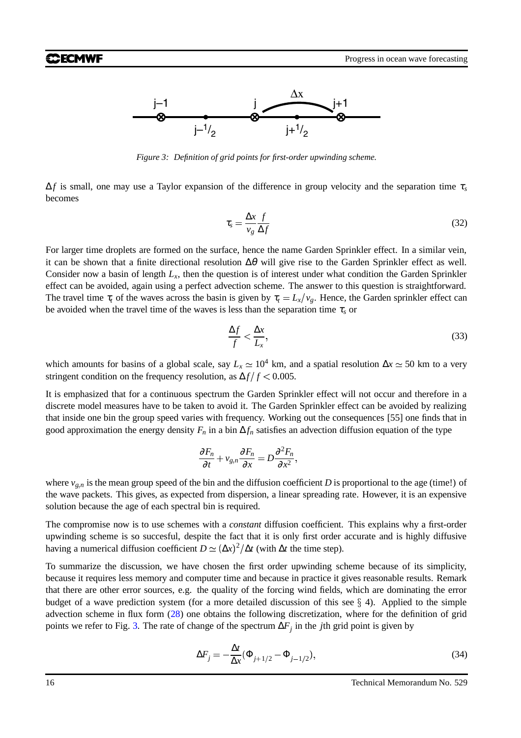# **ECMWF**



<span id="page-17-0"></span>*Figure 3: Definition of grid points for first-order upwinding scheme.*

 $\Delta f$  is small, one may use a Taylor expansion of the difference in group velocity and the separation time  $\tau_s$ becomes

$$
\tau_s = \frac{\Delta x}{v_g} \frac{f}{\Delta f} \tag{32}
$$

For larger time droplets are formed on the surface, hence the name Garden Sprinkler effect. In a similar vein, it can be shown that a finite directional resolution ∆θ will give rise to the Garden Sprinkler effect as well. Consider now a basin of length *Lx*, then the question is of interest under what condition the Garden Sprinkler effect can be avoided, again using a perfect advection scheme. The answer to this question is straightforward. The travel time  $\tau_t$  of the waves across the basin is given by  $\tau_t = L_x/v_g$ . Hence, the Garden sprinkler effect can be avoided when the travel time of the waves is less than the separation time  $\tau_s$  or

$$
\frac{\Delta f}{f} < \frac{\Delta x}{L_x},\tag{33}
$$

which amounts for basins of a global scale, say  $L_x \simeq 10^4$  km, and a spatial resolution  $\Delta x \simeq 50$  km to a very stringent condition on the frequency resolution, as  $\Delta f/f < 0.005$ .

It is emphasized that for a continuous spectrum the Garden Sprinkler effect will not occur and therefore in a discrete model measures have to be taken to avoid it. The Garden Sprinkler effect can be avoided by realizing that inside one bin the group speed varies with frequency. Working out the consequences [55] one finds that in good approximation the energy density  $F_n$  in a bin  $\Delta f_n$  satisfies an advection diffusion equation of the type

$$
\frac{\partial F_n}{\partial t} + v_{g,n} \frac{\partial F_n}{\partial x} = D \frac{\partial^2 F_n}{\partial x^2},
$$

where  $v_{g,n}$  is the mean group speed of the bin and the diffusion coefficient *D* is proportional to the age (time!) of the wave packets. This gives, as expected from dispersion, a linear spreading rate. However, it is an expensive solution because the age of each spectral bin is required.

The compromise now is to use schemes with a *constant* diffusion coefficient. This explains why a first-order upwinding scheme is so succesful, despite the fact that it is only first order accurate and is highly diffusive having a numerical diffusion coefficient  $D \simeq (\Delta x)^2/\Delta t$  (with  $\Delta t$  the time step).

To summarize the discussion, we have chosen the first order upwinding scheme because of its simplicity, because it requires less memory and computer time and because in practice it gives reasonable results. Remark that there are other error sources, e.g. the quality of the forcing wind fields, which are dominating the error budget of a wave prediction system (for a more detailed discussion of this see 4). Applied to the simple advection scheme in flux form [\(28\)](#page-16-2) one obtains the following discretization, where for the definition of grid points we refer to Fig. [3.](#page-17-0) The rate of change of the spectrum ∆*F<sup>j</sup>* in the *j*th grid point is given by

$$
\Delta F_j = -\frac{\Delta t}{\Delta x} (\Phi_{j+1/2} - \Phi_{j-1/2}),\tag{34}
$$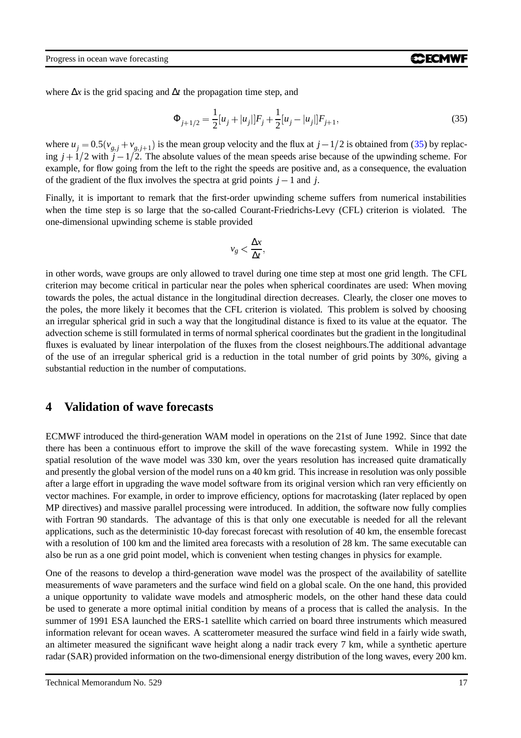where ∆*x* is the grid spacing and ∆*t* the propagation time step, and

<span id="page-18-0"></span>
$$
\Phi_{j+1/2} = \frac{1}{2} [u_j + |u_j|] F_j + \frac{1}{2} [u_j - |u_j|] F_{j+1},
$$
\n(35)

where  $u_j = 0.5(v_{g,j} + v_{g,j+1})$  is the mean group velocity and the flux at  $j - 1/2$  is obtained from [\(35\)](#page-18-0) by replacing  $j + 1/2$  with  $j - 1/2$ . The absolute values of the mean speeds arise because of the upwinding scheme. For example, for flow going from the left to the right the speeds are positive and, as a consequence, the evaluation of the gradient of the flux involves the spectra at grid points  $j - 1$  and *j*.

Finally, it is important to remark that the first-order upwinding scheme suffers from numerical instabilities when the time step is so large that the so-called Courant-Friedrichs-Levy (CFL) criterion is violated. The one-dimensional upwinding scheme is stable provided

$$
v_g < \frac{\Delta x}{\Delta t},
$$

in other words, wave groups are only allowed to travel during one time step at most one grid length. The CFL criterion may become critical in particular near the poles when spherical coordinates are used: When moving towards the poles, the actual distance in the longitudinal direction decreases. Clearly, the closer one moves to the poles, the more likely it becomes that the CFL criterion is violated. This problem is solved by choosing an irregular spherical grid in such a way that the longitudinal distance is fixed to its value at the equator. The advection scheme is still formulated in terms of normal spherical coordinates but the gradient in the longitudinal fluxes is evaluated by linear interpolation of the fluxes from the closest neighbours.The additional advantage of the use of an irregular spherical grid is a reduction in the total number of grid points by 30%, giving a substantial reduction in the number of computations.

# **4 Validation of wave forecasts**

ECMWF introduced the third-generation WAM model in operations on the 21st of June 1992. Since that date there has been a continuous effort to improve the skill of the wave forecasting system. While in 1992 the spatial resolution of the wave model was 330 km, over the years resolution has increased quite dramatically and presently the global version of the model runs on a 40 km grid. This increase in resolution was only possible after a large effort in upgrading the wave model software from its original version which ran very efficiently on vector machines. For example, in order to improve efficiency, options for macrotasking (later replaced by open MP directives) and massive parallel processing were introduced. In addition, the software now fully complies with Fortran 90 standards. The advantage of this is that only one executable is needed for all the relevant applications, such as the deterministic 10-day forecast forecast with resolution of 40 km, the ensemble forecast with a resolution of 100 km and the limited area forecasts with a resolution of 28 km. The same executable can also be run as a one grid point model, which is convenient when testing changes in physics for example.

One of the reasons to develop a third-generation wave model was the prospect of the availability of satellite measurements of wave parameters and the surface wind field on a global scale. On the one hand, this provided a unique opportunity to validate wave models and atmospheric models, on the other hand these data could be used to generate a more optimal initial condition by means of a process that is called the analysis. In the summer of 1991 ESA launched the ERS-1 satellite which carried on board three instruments which measured information relevant for ocean waves. A scatterometer measured the surface wind field in a fairly wide swath, an altimeter measured the significant wave height along a nadir track every 7 km, while a synthetic aperture radar (SAR) provided information on the two-dimensional energy distribution of the long waves, every 200 km.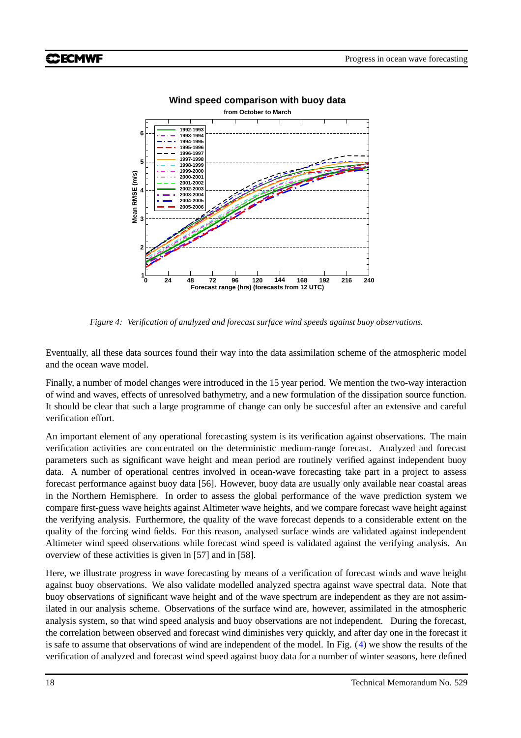

# **Wind speed comparison with buoy data**

*Figure 4: Verification of analyzed and forecast surface wind speeds against buoy observations.*

<span id="page-19-0"></span>Eventually, all these data sources found their way into the data assimilation scheme of the atmospheric model and the ocean wave model.

Finally, a number of model changes were introduced in the 15 year period. We mention the two-way interaction of wind and waves, effects of unresolved bathymetry, and a new formulation of the dissipation source function. It should be clear that such a large programme of change can only be succesful after an extensive and careful verification effort.

An important element of any operational forecasting system is its verification against observations. The main verification activities are concentrated on the deterministic medium-range forecast. Analyzed and forecast parameters such as significant wave height and mean period are routinely verified against independent buoy data. A number of operational centres involved in ocean-wave forecasting take part in a project to assess forecast performance against buoy data [56]. However, buoy data are usually only available near coastal areas in the Northern Hemisphere. In order to assess the global performance of the wave prediction system we compare first-guess wave heights against Altimeter wave heights, and we compare forecast wave height against the verifying analysis. Furthermore, the quality of the wave forecast depends to a considerable extent on the quality of the forcing wind fields. For this reason, analysed surface winds are validated against independent Altimeter wind speed observations while forecast wind speed is validated against the verifying analysis. An overview of these activities is given in [57] and in [58].

Here, we illustrate progress in wave forecasting by means of a verification of forecast winds and wave height against buoy observations. We also validate modelled analyzed spectra against wave spectral data. Note that buoy observations of significant wave height and of the wave spectrum are independent as they are not assimilated in our analysis scheme. Observations of the surface wind are, however, assimilated in the atmospheric analysis system, so that wind speed analysis and buoy observations are not independent. During the forecast, the correlation between observed and forecast wind diminishes very quickly, and after day one in the forecast it is safe to assume that observations of wind are independent of the model. In Fig. ([4\)](#page-19-0) we show the results of the verification of analyzed and forecast wind speed against buoy data for a number of winter seasons, here defined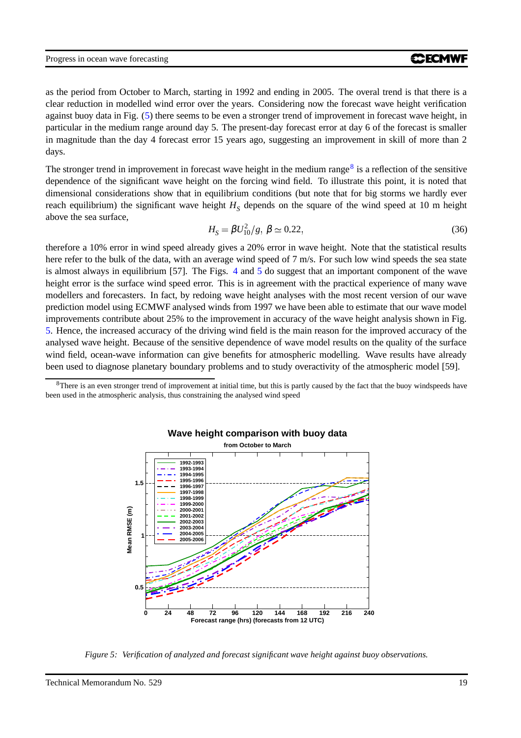#### Progress in ocean wave forecasting

as the period from October to March, starting in 1992 and ending in 2005. The overal trend is that there is a clear reduction in modelled wind error over the years. Considering now the forecast wave height verification against buoy data in Fig. [\(5\)](#page-20-0) there seems to be even a stronger trend of improvement in forecast wave height, in particular in the medium range around day 5. The present-day forecast error at day 6 of the forecast is smaller in magnitude than the day 4 forecast error 15 years ago, suggesting an improvement in skill of more than 2 days.

The stronger trend in improvement in forecast wave height in the medium range<sup>[8](#page-20-1)</sup> is a reflection of the sensitive dependence of the significant wave height on the forcing wind field. To illustrate this point, it is noted that dimensional considerations show that in equilibrium conditions (but note that for big storms we hardly ever reach equilibrium) the significant wave height  $H<sub>S</sub>$  depends on the square of the wind speed at 10 m height above the sea surface,

$$
H_{S} = \beta U_{10}^{2} / g, \ \beta \simeq 0.22, \tag{36}
$$

therefore a 10% error in wind speed already gives a 20% error in wave height. Note that the statistical results here refer to the bulk of the data, with an average wind speed of 7 m/s. For such low wind speeds the sea state is almost always in equilibrium [57]. The Figs. [4](#page-19-0) and [5](#page-20-0) do suggest that an important component of the wave height error is the surface wind speed error. This is in agreement with the practical experience of many wave modellers and forecasters. In fact, by redoing wave height analyses with the most recent version of our wave prediction model using ECMWF analysed winds from 1997 we have been able to estimate that our wave model improvements contribute about 25% to the improvement in accuracy of the wave height analysis shown in Fig. [5.](#page-20-0) Hence, the increased accuracy of the driving wind field is the main reason for the improved accuracy of the analysed wave height. Because of the sensitive dependence of wave model results on the quality of the surface wind field, ocean-wave information can give benefits for atmospheric modelling. Wave results have already been used to diagnose planetary boundary problems and to study overactivity of the atmospheric model [59].

<span id="page-20-1"></span><sup>&</sup>lt;sup>8</sup>There is an even stronger trend of improvement at initial time, but this is partly caused by the fact that the buoy windspeeds have been used in the atmospheric analysis, thus constraining the analysed wind speed



<span id="page-20-0"></span>*Figure 5: Verification of analyzed and forecast significant wave height against buoy observations.*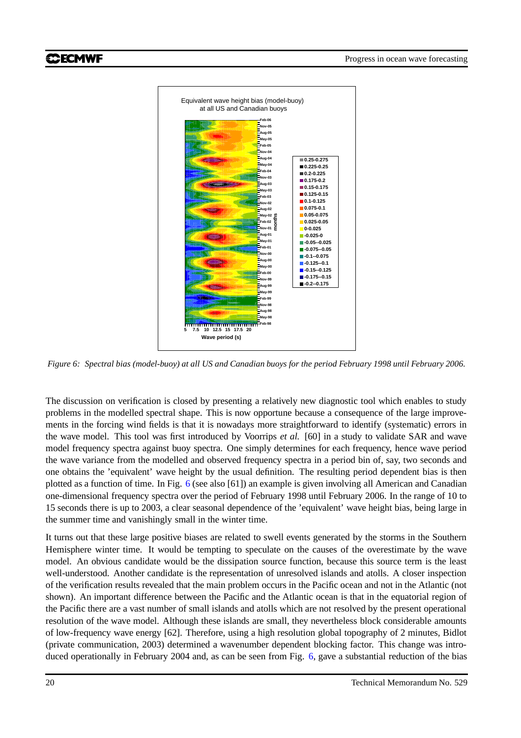

<span id="page-21-0"></span>Figure 6: Spectral bias (model-buoy) at all US and Canadian buoys for the period February 1998 until February 2006.

The discussion on verification is closed by presenting a relatively new diagnostic tool which enables to study problems in the modelled spectral shape. This is now opportune because a consequence of the large improvements in the forcing wind fields is that it is nowadays more straightforward to identify (systematic) errors in the wave model. This tool was first introduced by Voorrips *et al.* [60] in a study to validate SAR and wave model frequency spectra against buoy spectra. One simply determines for each frequency, hence wave period the wave variance from the modelled and observed frequency spectra in a period bin of, say, two seconds and one obtains the 'equivalent' wave height by the usual definition. The resulting period dependent bias is then plotted as a function of time. In Fig. [6](#page-21-0) (see also [61]) an example is given involving all American and Canadian one-dimensional frequency spectra over the period of February 1998 until February 2006. In the range of 10 to 15 seconds there is up to 2003, a clear seasonal dependence of the 'equivalent' wave height bias, being large in the summer time and vanishingly small in the winter time.

It turns out that these large positive biases are related to swell events generated by the storms in the Southern Hemisphere winter time. It would be tempting to speculate on the causes of the overestimate by the wave model. An obvious candidate would be the dissipation source function, because this source term is the least well-understood. Another candidate is the representation of unresolved islands and atolls. A closer inspection of the verification results revealed that the main problem occurs in the Pacific ocean and not in the Atlantic (not shown). An important difference between the Pacific and the Atlantic ocean is that in the equatorial region of the Pacific there are a vast number of small islands and atolls which are not resolved by the present operational resolution of the wave model. Although these islands are small, they nevertheless block considerable amounts of low-frequency wave energy [62]. Therefore, using a high resolution global topography of 2 minutes, Bidlot (private communication, 2003) determined a wavenumber dependent blocking factor. This change was introduced operationally in February 2004 and, as can be seen from Fig. [6,](#page-21-0) gave a substantial reduction of the bias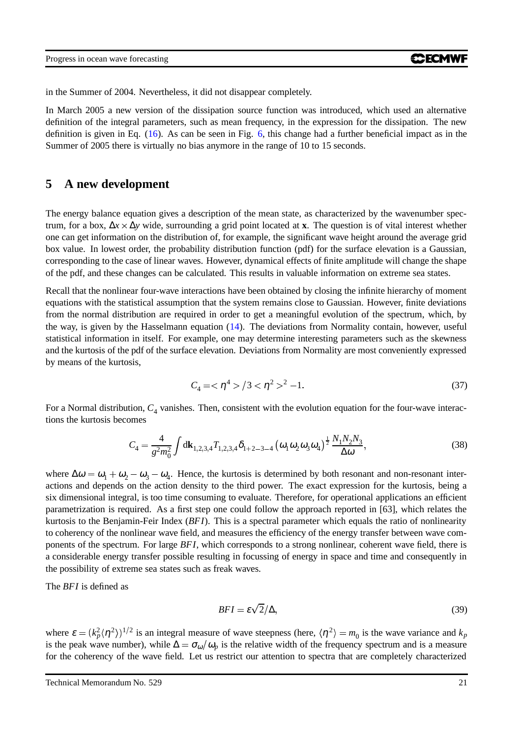in the Summer of 2004. Nevertheless, it did not disappear completely.

In March 2005 a new version of the dissipation source function was introduced, which used an alternative definition of the integral parameters, such as mean frequency, in the expression for the dissipation. The new definition is given in Eq.  $(16)$ . As can be seen in Fig. [6,](#page-21-0) this change had a further beneficial impact as in the Summer of 2005 there is virtually no bias anymore in the range of 10 to 15 seconds.

### **5 A new development**

The energy balance equation gives a description of the mean state, as characterized by the wavenumber spectrum, for a box, ∆*x* ∆*y* wide, surrounding a grid point located at **x**. The question is of vital interest whether one can get information on the distribution of, for example, the significant wave height around the average grid box value. In lowest order, the probability distribution function (pdf) for the surface elevation is a Gaussian, corresponding to the case of linear waves. However, dynamical effects of finite amplitude will change the shape of the pdf, and these changes can be calculated. This results in valuable information on extreme sea states.

Recall that the nonlinear four-wave interactions have been obtained by closing the infinite hierarchy of moment equations with the statistical assumption that the system remains close to Gaussian. However, finite deviations from the normal distribution are required in order to get a meaningful evolution of the spectrum, which, by the way, is given by the Hasselmann equation [\(14\)](#page-9-2). The deviations from Normality contain, however, useful statistical information in itself. For example, one may determine interesting parameters such as the skewness and the kurtosis of the pdf of the surface elevation. Deviations from Normality are most conveniently expressed by means of the kurtosis,

$$
C_4 = \langle \eta^4 \rangle / 3 < \eta^2 \rangle^2 - 1. \tag{37}
$$

For a Normal distribution,  $C_4$  vanishes. Then, consistent with the evolution equation for the four-wave interactions the kurtosis becomes

$$
C_4 = \frac{4}{g^2 m_0^2} \int \mathrm{d}\mathbf{k}_{1,2,3,4} T_{1,2,3,4} \delta_{1+2-3-4} \left( \omega_1 \omega_2 \omega_3 \omega_4 \right)^{\frac{1}{2}} \frac{N_1 N_2 N_3}{\Delta \omega},\tag{38}
$$

<span id="page-22-0"></span>where  $\Delta \omega = \omega_1 + \omega_2 - \omega_3 - \omega_4$ . Hence, the kurtosis is determined by both resonant and non-resonant inter actions and depends on the action density to the third power. The exact expression for the kurtosis, being a six dimensional integral, is too time consuming to evaluate. Therefore, for operational applications an efficient parametrization is required. As a first step one could follow the approach reported in [63], which relates the kurtosis to the Benjamin-Feir Index (*BFI*). This is a spectral parameter which equals the ratio of nonlinearity to coherency of the nonlinear wave field, and measures the efficiency of the energy transfer between wave components of the spectrum. For large *BFI*, which corresponds to a strong nonlinear, coherent wave field, there is a considerable energy transfer possible resulting in focussing of energy in space and time and consequently in the possibility of extreme sea states such as freak waves.

The *BFI* is defined as

$$
BFI = \varepsilon \sqrt{2}/\Delta, \tag{39}
$$

where  $\varepsilon = (k_p^2 \langle \eta^2 \rangle)^{1/2}$  is an integral measure of wave steepness (here,  $\langle \eta^2 \rangle = m_0$  is the wave variance and  $k_p$ is the peak wave number), while  $\Delta = \sigma_{\omega}/\omega_p$  is the relative width of the frequency spectrum and is a measure for the coherency of the wave field. Let us restrict our attention to spectra that are completely characterized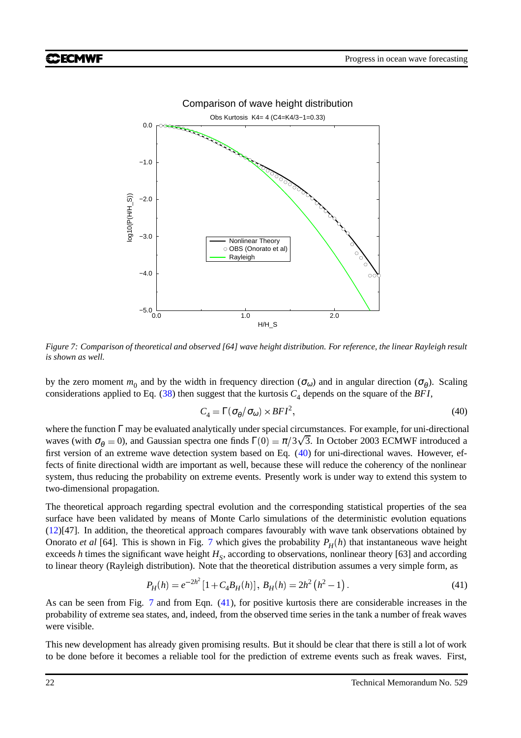

<span id="page-23-1"></span>Figure 7: Comparison of theoretical and observed [64] wave height distribution. For reference, the linear Rayleigh result *is shown as well.*

by the zero moment  $m_0$  and by the width in frequency direction ( $\sigma_\omega$ ) and in angular direction ( $\sigma_\theta$ ). Scaling considerations applied to Eq.  $(38)$  then suggest that the kurtosis  $C_4$  depends on the square of the *BFI*,

<span id="page-23-0"></span>
$$
C_4 = \Gamma(\sigma_\theta/\sigma_\omega) \times BFI^2,\tag{40}
$$

where the function Γ may be evaluated analytically under special circumstances. For example, for uni-directional waves (with  $\sigma_{\theta} = 0$ ), and Gaussian spectra one finds  $\Gamma(0) = \pi/3\sqrt{3}$ . In October 2003 ECMWF introduced a first version of an extreme wave detection system based on Eq. [\(40\)](#page-23-0) for uni-directional waves. However, effects of finite directional width are important as well, because these will reduce the coherency of the nonlinear system, thus reducing the probability on extreme events. Presently work is under way to extend this system to two-dimensional propagation.

The theoretical approach regarding spectral evolution and the corresponding statistical properties of the sea surface have been validated by means of Monte Carlo simulations of the deterministic evolution equations [\(12\)](#page-9-0)[47]. In addition, the theoretical approach compares favourably with wave tank observations obtained by Onorato *et al* [64]. This is shown in Fig. [7](#page-23-1) which gives the probability  $P_H(h)$  that instantaneous wave height exceeds *h* times the significant wave height  $H<sub>S</sub>$ , according to observations, nonlinear theory [63] and according to linear theory (Rayleigh distribution). Note that the theoretical distribution assumes a very simple form, as

$$
P_H(h) = e^{-2h^2} [1 + C_4 B_H(h)], B_H(h) = 2h^2 (h^2 - 1).
$$
 (41)

<span id="page-23-2"></span>As can be seen from Fig. [7](#page-23-1) and from Eqn. [\(41\)](#page-23-2), for positive kurtosis there are considerable increases in the probability of extreme sea states, and, indeed, from the observed time series in the tank a number of freak waves were visible.

This new development has already given promising results. But it should be clear that there is still a lot of work to be done before it becomes a reliable tool for the prediction of extreme events such as freak waves. First,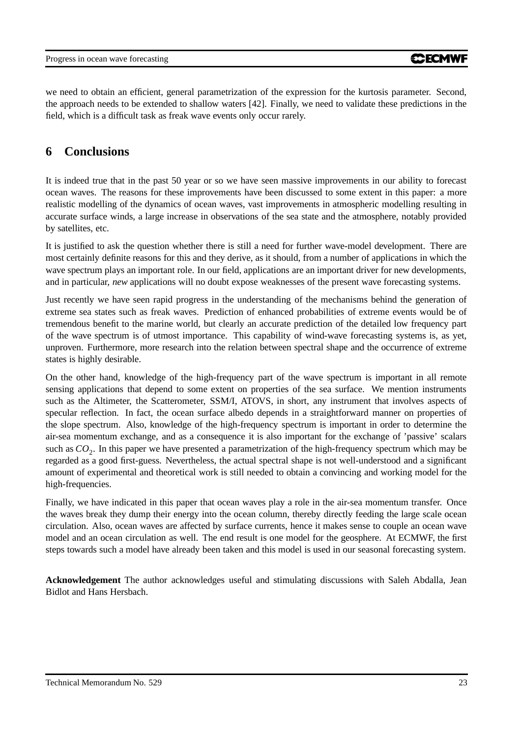we need to obtain an efficient, general parametrization of the expression for the kurtosis parameter. Second, the approach needs to be extended to shallow waters [42]. Finally, we need to validate these predictions in the field, which is a difficult task as freak wave events only occur rarely.

# **6 Conclusions**

It is indeed true that in the past 50 year or so we have seen massive improvements in our ability to forecast ocean waves. The reasons for these improvements have been discussed to some extent in this paper: a more realistic modelling of the dynamics of ocean waves, vast improvements in atmospheric modelling resulting in accurate surface winds, a large increase in observations of the sea state and the atmosphere, notably provided by satellites, etc.

It is justified to ask the question whether there is still a need for further wave-model development. There are most certainly definite reasons for this and they derive, as it should, from a number of applications in which the wave spectrum plays an important role. In our field, applications are an important driver for new developments, and in particular, *new* applications will no doubt expose weaknesses of the present wave forecasting systems.

Just recently we have seen rapid progress in the understanding of the mechanisms behind the generation of extreme sea states such as freak waves. Prediction of enhanced probabilities of extreme events would be of tremendous benefit to the marine world, but clearly an accurate prediction of the detailed low frequency part of the wave spectrum is of utmost importance. This capability of wind-wave forecasting systems is, as yet, unproven. Furthermore, more research into the relation between spectral shape and the occurrence of extreme states is highly desirable.

On the other hand, knowledge of the high-frequency part of the wave spectrum is important in all remote sensing applications that depend to some extent on properties of the sea surface. We mention instruments such as the Altimeter, the Scatterometer, SSM/I, ATOVS, in short, any instrument that involves aspects of specular reflection. In fact, the ocean surface albedo depends in a straightforward manner on properties of the slope spectrum. Also, knowledge of the high-frequency spectrum is important in order to determine the air-sea momentum exchange, and as a consequence it is also important for the exchange of 'passive' scalars such as  $CO_2$ . In this paper we have presented a parametrization of the high-frequency spectrum which may be regarded as a good first-guess. Nevertheless, the actual spectral shape is not well-understood and a significant amount of experimental and theoretical work is still needed to obtain a convincing and working model for the high-frequencies.

Finally, we have indicated in this paper that ocean waves play a role in the air-sea momentum transfer. Once the waves break they dump their energy into the ocean column, thereby directly feeding the large scale ocean circulation. Also, ocean waves are affected by surface currents, hence it makes sense to couple an ocean wave model and an ocean circulation as well. The end result is one model for the geosphere. At ECMWF, the first steps towards such a model have already been taken and this model is used in our seasonal forecasting system.

**Acknowledgement** The author acknowledges useful and stimulating discussions with Saleh Abdalla, Jean Bidlot and Hans Hersbach.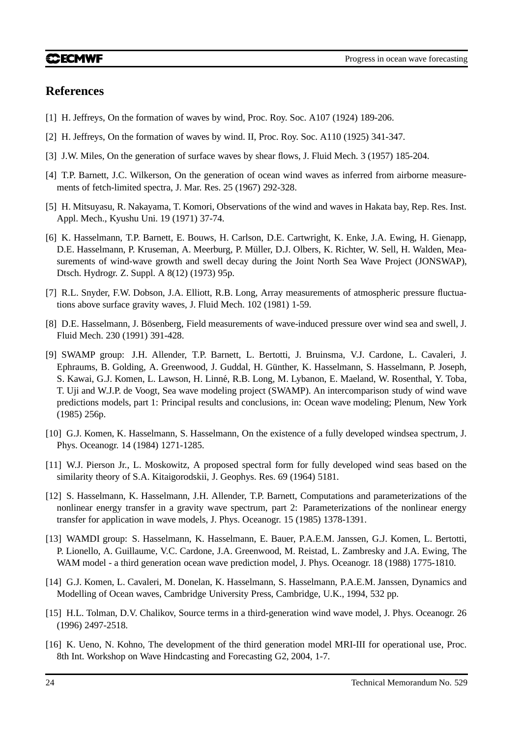# **CCECMWF**

# **References**

- [1] H. Jeffreys, On the formation of waves by wind, Proc. Roy. Soc. A107 (1924) 189-206.
- [2] H. Jeffreys, On the formation of waves by wind. II, Proc. Roy. Soc. A110 (1925) 341-347.
- [3] J.W. Miles, On the generation of surface waves by shear flows, J. Fluid Mech. 3 (1957) 185-204.
- [4] T.P. Barnett, J.C. Wilkerson, On the generation of ocean wind waves as inferred from airborne measurements of fetch-limited spectra, J. Mar. Res. 25 (1967) 292-328.
- [5] H. Mitsuyasu, R. Nakayama, T. Komori, Observations of the wind and waves in Hakata bay, Rep. Res. Inst. Appl. Mech., Kyushu Uni. 19 (1971) 37-74.
- [6] K. Hasselmann, T.P. Barnett, E. Bouws, H. Carlson, D.E. Cartwright, K. Enke, J.A. Ewing, H. Gienapp, D.E. Hasselmann, P. Kruseman, A. Meerburg, P. Müller, D.J. Olbers, K. Richter, W. Sell, H. Walden, Measurements of wind-wave growth and swell decay during the Joint North Sea Wave Project (JONSWAP), Dtsch. Hydrogr. Z. Suppl. A 8(12) (1973) 95p.
- [7] R.L. Snyder, F.W. Dobson, J.A. Elliott, R.B. Long, Array measurements of atmospheric pressure fluctuations above surface gravity waves, J. Fluid Mech. 102 (1981) 1-59.
- [8] D.E. Hasselmann, J. Bösenberg, Field measurements of wave-induced pressure over wind sea and swell, J. Fluid Mech. 230 (1991) 391-428.
- [9] SWAMP group: J.H. Allender, T.P. Barnett, L. Bertotti, J. Bruinsma, V.J. Cardone, L. Cavaleri, J. Ephraums, B. Golding, A. Greenwood, J. Guddal, H. Günther, K. Hasselmann, S. Hasselmann, P. Joseph, S. Kawai, G.J. Komen, L. Lawson, H. Linné, R.B. Long, M. Lybanon, E. Maeland, W. Rosenthal, Y. Toba, T. Uji and W.J.P. de Voogt, Sea wave modeling project (SWAMP). An intercomparison study of wind wave predictions models, part 1: Principal results and conclusions, in: Ocean wave modeling; Plenum, New York (1985) 256p.
- [10] G.J. Komen, K. Hasselmann, S. Hasselmann, On the existence of a fully developed windsea spectrum, J. Phys. Oceanogr. 14 (1984) 1271-1285.
- [11] W.J. Pierson Jr., L. Moskowitz, A proposed spectral form for fully developed wind seas based on the similarity theory of S.A. Kitaigorodskii, J. Geophys. Res. 69 (1964) 5181.
- [12] S. Hasselmann, K. Hasselmann, J.H. Allender, T.P. Barnett, Computations and parameterizations of the nonlinear energy transfer in a gravity wave spectrum, part 2: Parameterizations of the nonlinear energy transfer for application in wave models, J. Phys. Oceanogr. 15 (1985) 1378-1391.
- [13] WAMDI group: S. Hasselmann, K. Hasselmann, E. Bauer, P.A.E.M. Janssen, G.J. Komen, L. Bertotti, P. Lionello, A. Guillaume, V.C. Cardone, J.A. Greenwood, M. Reistad, L. Zambresky and J.A. Ewing, The WAM model - a third generation ocean wave prediction model, J. Phys. Oceanogr. 18 (1988) 1775-1810.
- [14] G.J. Komen, L. Cavaleri, M. Donelan, K. Hasselmann, S. Hasselmann, P.A.E.M. Janssen, Dynamics and Modelling of Ocean waves, Cambridge University Press, Cambridge, U.K., 1994, 532 pp.
- [15] H.L. Tolman, D.V. Chalikov, Source terms in a third-generation wind wave model, J. Phys. Oceanogr. 26 (1996) 2497-2518.
- [16] K. Ueno, N. Kohno, The development of the third generation model MRI-III for operational use, Proc. 8th Int. Workshop on Wave Hindcasting and Forecasting G2, 2004, 1-7.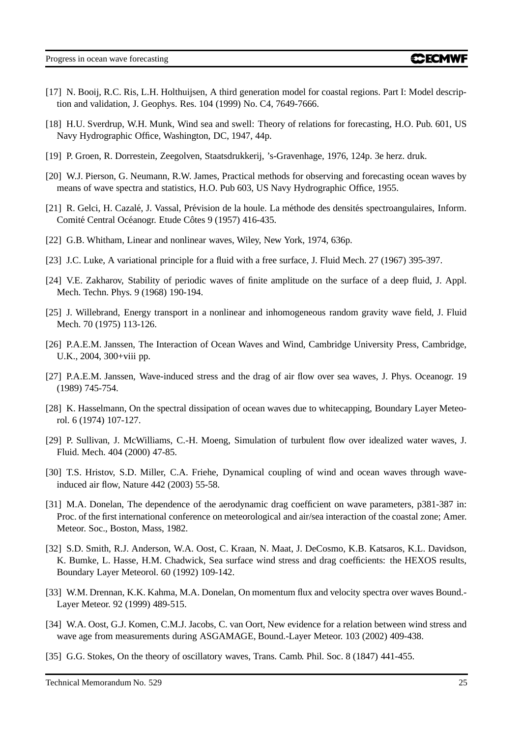- [17] N. Booij, R.C. Ris, L.H. Holthuijsen, A third generation model for coastal regions. Part I: Model description and validation, J. Geophys. Res. 104 (1999) No. C4, 7649-7666.
- [18] H.U. Sverdrup, W.H. Munk, Wind sea and swell: Theory of relations for forecasting, H.O. Pub. 601, US Navy Hydrographic Office, Washington, DC, 1947, 44p.
- [19] P. Groen, R. Dorrestein, Zeegolven, Staatsdrukkerij, 's-Gravenhage, 1976, 124p. 3e herz. druk.
- [20] W.J. Pierson, G. Neumann, R.W. James, Practical methods for observing and forecasting ocean waves by means of wave spectra and statistics, H.O. Pub 603, US Navy Hydrographic Office, 1955.
- [21] R. Gelci, H. Cazalé, J. Vassal, Prévision de la houle. La méthode des densités spectroangulaires, Inform. Comité Central Océanogr. Etude Côtes 9 (1957) 416-435.
- [22] G.B. Whitham, Linear and nonlinear waves, Wiley, New York, 1974, 636p.
- [23] J.C. Luke, A variational principle for a fluid with a free surface, J. Fluid Mech. 27 (1967) 395-397.
- [24] V.E. Zakharov, Stability of periodic waves of finite amplitude on the surface of a deep fluid, J. Appl. Mech. Techn. Phys. 9 (1968) 190-194.
- [25] J. Willebrand, Energy transport in a nonlinear and inhomogeneous random gravity wave field, J. Fluid Mech. 70 (1975) 113-126.
- [26] P.A.E.M. Janssen, The Interaction of Ocean Waves and Wind, Cambridge University Press, Cambridge, U.K., 2004, 300+viii pp.
- [27] P.A.E.M. Janssen, Wave-induced stress and the drag of air flow over sea waves, J. Phys. Oceanogr. 19 (1989) 745-754.
- [28] K. Hasselmann, On the spectral dissipation of ocean waves due to whitecapping, Boundary Layer Meteorol. 6 (1974) 107-127.
- [29] P. Sullivan, J. McWilliams, C.-H. Moeng, Simulation of turbulent flow over idealized water waves, J. Fluid. Mech. 404 (2000) 47-85.
- [30] T.S. Hristov, S.D. Miller, C.A. Friehe, Dynamical coupling of wind and ocean waves through waveinduced air flow, Nature 442 (2003) 55-58.
- [31] M.A. Donelan, The dependence of the aerodynamic drag coefficient on wave parameters, p381-387 in: Proc. of the first international conference on meteorological and air/sea interaction of the coastal zone; Amer. Meteor. Soc., Boston, Mass, 1982.
- [32] S.D. Smith, R.J. Anderson, W.A. Oost, C. Kraan, N. Maat, J. DeCosmo, K.B. Katsaros, K.L. Davidson, K. Bumke, L. Hasse, H.M. Chadwick, Sea surface wind stress and drag coefficients: the HEXOS results, Boundary Layer Meteorol. 60 (1992) 109-142.
- [33] W.M. Drennan, K.K. Kahma, M.A. Donelan, On momentum flux and velocity spectra over waves Bound.- Layer Meteor. 92 (1999) 489-515.
- [34] W.A. Oost, G.J. Komen, C.M.J. Jacobs, C. van Oort, New evidence for a relation between wind stress and wave age from measurements during ASGAMAGE, Bound.-Layer Meteor. 103 (2002) 409-438.
- [35] G.G. Stokes, On the theory of oscillatory waves, Trans. Camb. Phil. Soc. 8 (1847) 441-455.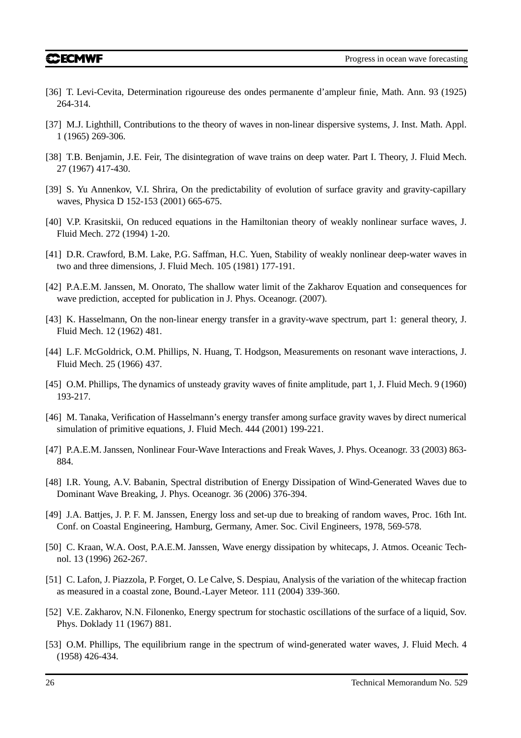- [36] T. Levi-Cevita, Determination rigoureuse des ondes permanente d'ampleur finie, Math. Ann. 93 (1925) 264-314.
- [37] M.J. Lighthill, Contributions to the theory of waves in non-linear dispersive systems, J. Inst. Math. Appl. 1 (1965) 269-306.
- [38] T.B. Benjamin, J.E. Feir, The disintegration of wave trains on deep water. Part I. Theory, J. Fluid Mech. 27 (1967) 417-430.
- [39] S. Yu Annenkov, V.I. Shrira, On the predictability of evolution of surface gravity and gravity-capillary waves, Physica D 152-153 (2001) 665-675.
- [40] V.P. Krasitskii, On reduced equations in the Hamiltonian theory of weakly nonlinear surface waves, J. Fluid Mech. 272 (1994) 1-20.
- [41] D.R. Crawford, B.M. Lake, P.G. Saffman, H.C. Yuen, Stability of weakly nonlinear deep-water waves in two and three dimensions, J. Fluid Mech. 105 (1981) 177-191.
- [42] P.A.E.M. Janssen, M. Onorato, The shallow water limit of the Zakharov Equation and consequences for wave prediction, accepted for publication in J. Phys. Oceanogr. (2007).
- [43] K. Hasselmann, On the non-linear energy transfer in a gravity-wave spectrum, part 1: general theory, J. Fluid Mech. 12 (1962) 481.
- [44] L.F. McGoldrick, O.M. Phillips, N. Huang, T. Hodgson, Measurements on resonant wave interactions, J. Fluid Mech. 25 (1966) 437.
- [45] O.M. Phillips, The dynamics of unsteady gravity waves of finite amplitude, part 1, J. Fluid Mech. 9 (1960) 193-217.
- [46] M. Tanaka, Verification of Hasselmann's energy transfer among surface gravity waves by direct numerical simulation of primitive equations, J. Fluid Mech. 444 (2001) 199-221.
- [47] P.A.E.M.Janssen, Nonlinear Four-Wave Interactions and Freak Waves, J. Phys. Oceanogr. 33 (2003) 863- 884.
- [48] I.R. Young, A.V. Babanin, Spectral distribution of Energy Dissipation of Wind-Generated Waves due to Dominant Wave Breaking, J. Phys. Oceanogr. 36 (2006) 376-394.
- [49] J.A. Battjes, J. P. F. M. Janssen, Energy loss and set-up due to breaking of random waves, Proc. 16th Int. Conf. on Coastal Engineering, Hamburg, Germany, Amer. Soc. Civil Engineers, 1978, 569-578.
- [50] C. Kraan, W.A. Oost, P.A.E.M. Janssen, Wave energy dissipation by whitecaps, J. Atmos. Oceanic Technol. 13 (1996) 262-267.
- [51] C. Lafon, J. Piazzola, P. Forget, O. Le Calve, S. Despiau, Analysis of the variation of the whitecap fraction as measured in a coastal zone, Bound.-Layer Meteor. 111 (2004) 339-360.
- [52] V.E. Zakharov, N.N. Filonenko, Energy spectrum for stochastic oscillations of the surface of a liquid, Sov. Phys. Doklady 11 (1967) 881.
- [53] O.M. Phillips, The equilibrium range in the spectrum of wind-generated water waves, J. Fluid Mech. 4 (1958) 426-434.